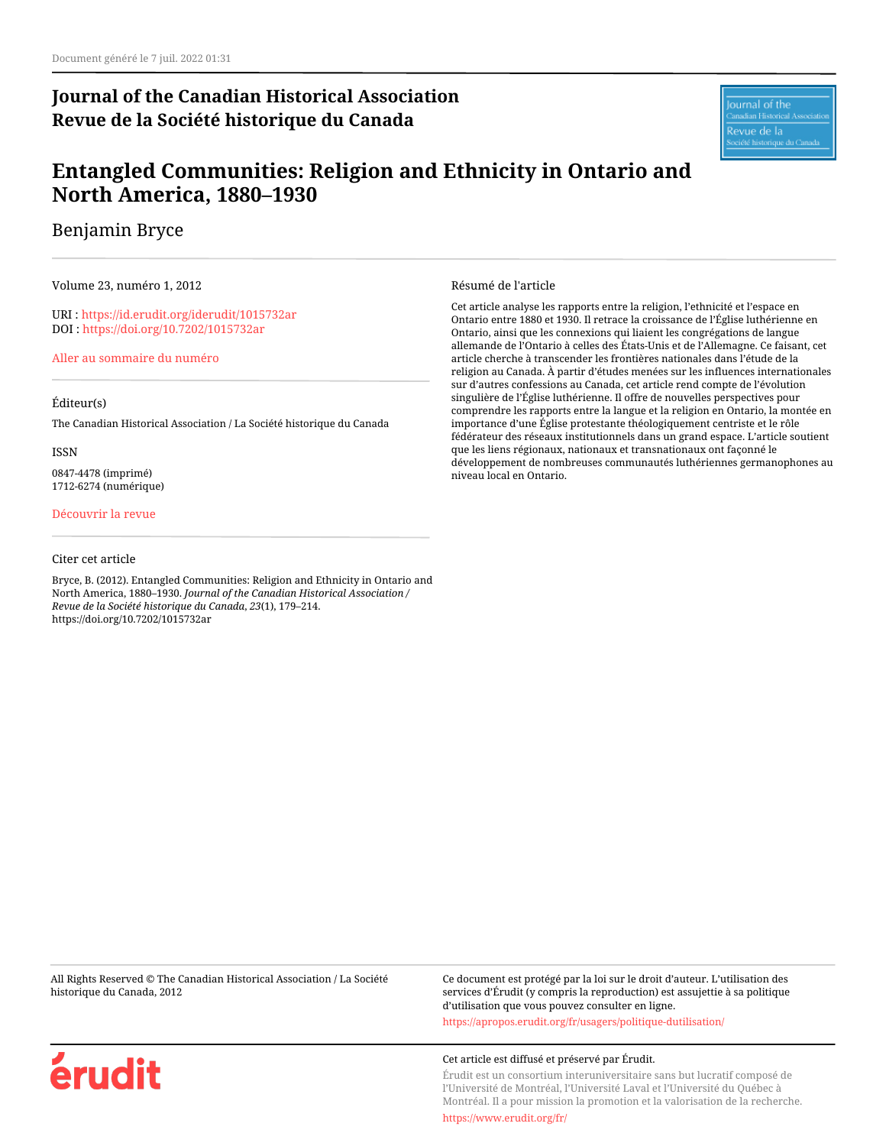# **Journal of the Canadian Historical Association Revue de la Société historique du Canada**

lournal of the adian Historical A Revue de la

# **Entangled Communities: Religion and Ethnicity in Ontario and North America, 1880–1930**

Benjamin Bryce

Volume 23, numéro 1, 2012

URI :<https://id.erudit.org/iderudit/1015732ar> DOI :<https://doi.org/10.7202/1015732ar>

[Aller au sommaire du numéro](https://www.erudit.org/fr/revues/jcha/2012-v23-n1-jcha0586/)

#### Éditeur(s)

The Canadian Historical Association / La Société historique du Canada

ISSN

0847-4478 (imprimé) 1712-6274 (numérique)

#### [Découvrir la revue](https://www.erudit.org/fr/revues/jcha/)

#### Citer cet article

Bryce, B. (2012). Entangled Communities: Religion and Ethnicity in Ontario and North America, 1880–1930. *Journal of the Canadian Historical Association / Revue de la Société historique du Canada*, *23*(1), 179–214. https://doi.org/10.7202/1015732ar

#### Résumé de l'article

Cet article analyse les rapports entre la religion, l'ethnicité et l'espace en Ontario entre 1880 et 1930. Il retrace la croissance de l'Église luthérienne en Ontario, ainsi que les connexions qui liaient les congrégations de langue allemande de l'Ontario à celles des États-Unis et de l'Allemagne. Ce faisant, cet article cherche à transcender les frontières nationales dans l'étude de la religion au Canada. À partir d'études menées sur les influences internationales sur d'autres confessions au Canada, cet article rend compte de l'évolution singulière de l'Église luthérienne. Il offre de nouvelles perspectives pour comprendre les rapports entre la langue et la religion en Ontario, la montée en importance d'une Église protestante théologiquement centriste et le rôle fédérateur des réseaux institutionnels dans un grand espace. L'article soutient que les liens régionaux, nationaux et transnationaux ont façonné le développement de nombreuses communautés luthériennes germanophones au niveau local en Ontario.

All Rights Reserved © The Canadian Historical Association / La Société historique du Canada, 2012

Ce document est protégé par la loi sur le droit d'auteur. L'utilisation des services d'Érudit (y compris la reproduction) est assujettie à sa politique d'utilisation que vous pouvez consulter en ligne.

<https://apropos.erudit.org/fr/usagers/politique-dutilisation/>

#### Cet article est diffusé et préservé par Érudit.

Érudit est un consortium interuniversitaire sans but lucratif composé de l'Université de Montréal, l'Université Laval et l'Université du Québec à Montréal. Il a pour mission la promotion et la valorisation de la recherche.

<https://www.erudit.org/fr/>

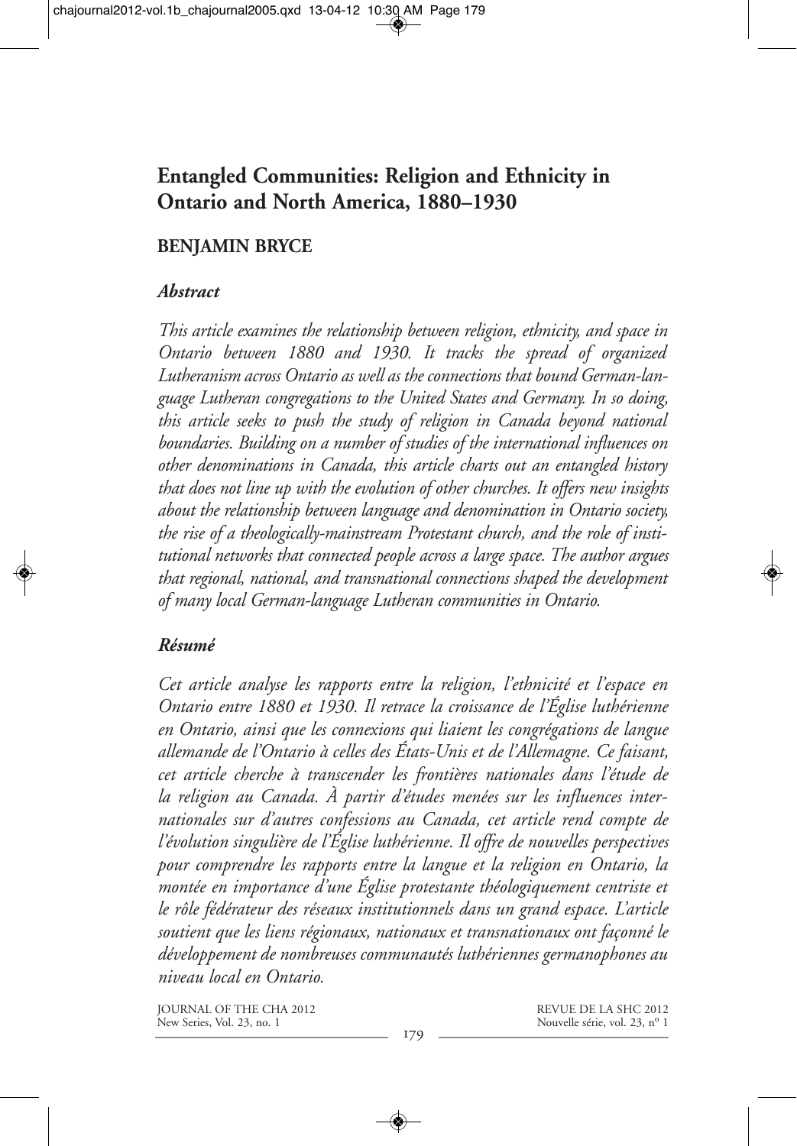# **Entangled Communities: Religion and Ethnicity in Ontario and North America, 1880–1930**

### **BENJAMIN BRYCE**

#### *Abstract*

*This article examines the relationship between religion, ethnicity, and space in Ontario between 1880 and 1930. It tracks the spread of organized Lutheranism across Ontario as well as the connections that bound German-language Lutheran congregations to the United States and Germany. In so doing, this article seeks to push the study of religion in Canada beyond national boundaries. Building on a number of studies of the international influences on other denominations in Canada, this article charts out an entangled history that does not line up with the evolution of other churches. It offers new insights about the relationship between language and denomination in Ontario society, the rise of a theologically-mainstream Protestant church, and the role of institutional networks that connected people across a large space. The author argues that regional, national, and transnational connections shaped the development of many local German-language Lutheran communities in Ontario.*

### *Résumé*

*Cet article analyse les rapports entre la religion, l'ethnicité et l'espace en Ontario entre 1880 et 1930. Il retrace la croissance de l'Église luthérienne en Ontario, ainsi que les connexions qui liaient les congrégations de langue allemande de l'Ontario à celles des États-Unis et de l'Allemagne. Ce faisant, cet article cherche à transcender les frontières nationales dans l'étude de la religion au Canada. À partir d'études menées sur les influences inter nationales sur d'autres confessions au Canada, cet article rend compte de l'évolution singulière de l'Église luthérienne. Il offre de nouvelles perspectives pour comprendre les rapports entre la langue et la religion en Ontario, la montée en importance d'une Église protestante théologiquement centriste et le rôle fédérateur des réseaux institutionnels dans un grand espace. L'article soutient que les liens régionaux, nationaux et transnationaux ont façonné le développement de nombreuses communautés luthériennes germanophones au niveau local en Ontario.*

JOURNAL OF THE CHA 2012 New Series, Vol. 23, no. 1

REVUE DE LA SHC 2012 Nouvelle série, vol. 23, nº 1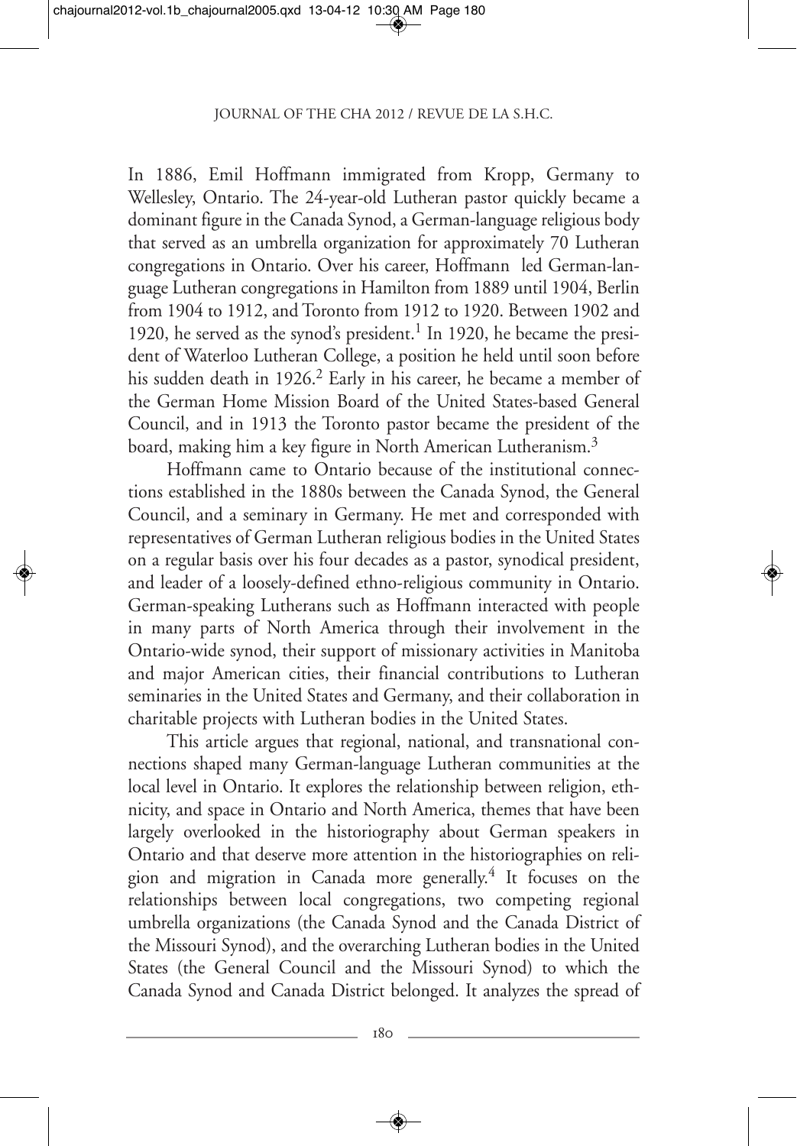In 1886, Emil Hoffmann immigrated from Kropp, Germany to Wellesley, Ontario. The 24-year-old Lutheran pastor quickly became a dominant figure in the Canada Synod, a German-language religious body that served as an umbrella organization for approximately 70 Lutheran congregations in Ontario. Over his career, Hoffmann led German-language Lutheran congregations in Hamilton from 1889 until 1904, Berlin from 1904 to 1912, and Toronto from 1912 to 1920. Between 1902 and 1920, he served as the synod's president.<sup>1</sup> In 1920, he became the president of Waterloo Lutheran College, a position he held until soon before his sudden death in 1926.<sup>2</sup> Early in his career, he became a member of the German Home Mission Board of the United States-based General Council, and in 1913 the Toronto pastor became the president of the board, making him a key figure in North American Lutheranism.<sup>3</sup>

Hoffmann came to Ontario because of the institutional connections established in the 1880s between the Canada Synod, the General Council, and a seminary in Germany. He met and corresponded with representatives of German Lutheran religious bodies in the United States on a regular basis over his four decades as a pastor, synodical president, and leader of a loosely-defined ethno-religious community in Ontario. German-speaking Lutherans such as Hoffmann interacted with people in many parts of North America through their involvement in the Ontario-wide synod, their support of missionary activities in Manitoba and major American cities, their financial contributions to Lutheran seminaries in the United States and Germany, and their collaboration in charitable projects with Lutheran bodies in the United States.

This article argues that regional, national, and transnational connections shaped many German-language Lutheran communities at the local level in Ontario. It explores the relationship between religion, ethnicity, and space in Ontario and North America, themes that have been largely overlooked in the historiography about German speakers in Ontario and that deserve more attention in the historiographies on religion and migration in Canada more generally.4 It focuses on the relationships between local congregations, two competing regional umbrella organizations (the Canada Synod and the Canada District of the Missouri Synod), and the overarching Lutheran bodies in the United States (the General Council and the Missouri Synod) to which the Canada Synod and Canada District belonged. It analyzes the spread of

180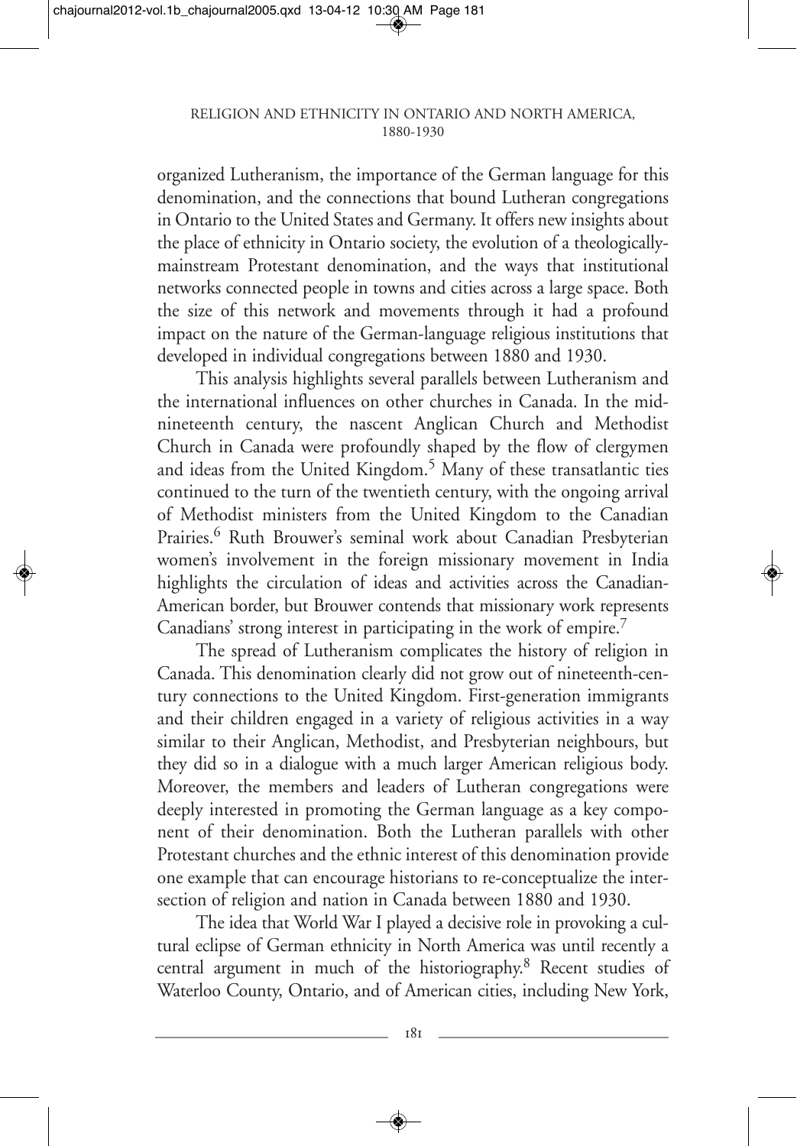organized Lutheranism, the importance of the German language for this denomination, and the connections that bound Lutheran congregations in Ontario to the United States and Germany. It offers new insights about the place of ethnicity in Ontario society, the evolution of a theologicallymainstream Protestant denomination, and the ways that institutional networks connected people in towns and cities across a large space. Both the size of this network and movements through it had a profound impact on the nature of the German-language religious institutions that developed in individual congregations between 1880 and 1930.

This analysis highlights several parallels between Lutheranism and the international influences on other churches in Canada. In the midnineteenth century, the nascent Anglican Church and Methodist Church in Canada were profoundly shaped by the flow of clergymen and ideas from the United Kingdom.<sup>5</sup> Many of these transatlantic ties continued to the turn of the twentieth century, with the ongoing arrival of Methodist ministers from the United Kingdom to the Canadian Prairies.<sup>6</sup> Ruth Brouwer's seminal work about Canadian Presbyterian women's involvement in the foreign missionary movement in India highlights the circulation of ideas and activities across the Canadian-American border, but Brouwer contends that missionary work represents Canadians' strong interest in participating in the work of empire.7

The spread of Lutheranism complicates the history of religion in Canada. This denomination clearly did not grow out of nineteenth-century connections to the United Kingdom. First-generation immigrants and their children engaged in a variety of religious activities in a way similar to their Anglican, Methodist, and Presbyterian neighbours, but they did so in a dialogue with a much larger American religious body. Moreover, the members and leaders of Lutheran congregations were deeply interested in promoting the German language as a key component of their denomination. Both the Lutheran parallels with other Protestant churches and the ethnic interest of this denomination provide one example that can encourage historians to re-conceptualize the intersection of religion and nation in Canada between 1880 and 1930.

The idea that World War I played a decisive role in provoking a cultural eclipse of German ethnicity in North America was until recently a central argument in much of the historiography.8 Recent studies of Waterloo County, Ontario, and of American cities, including New York,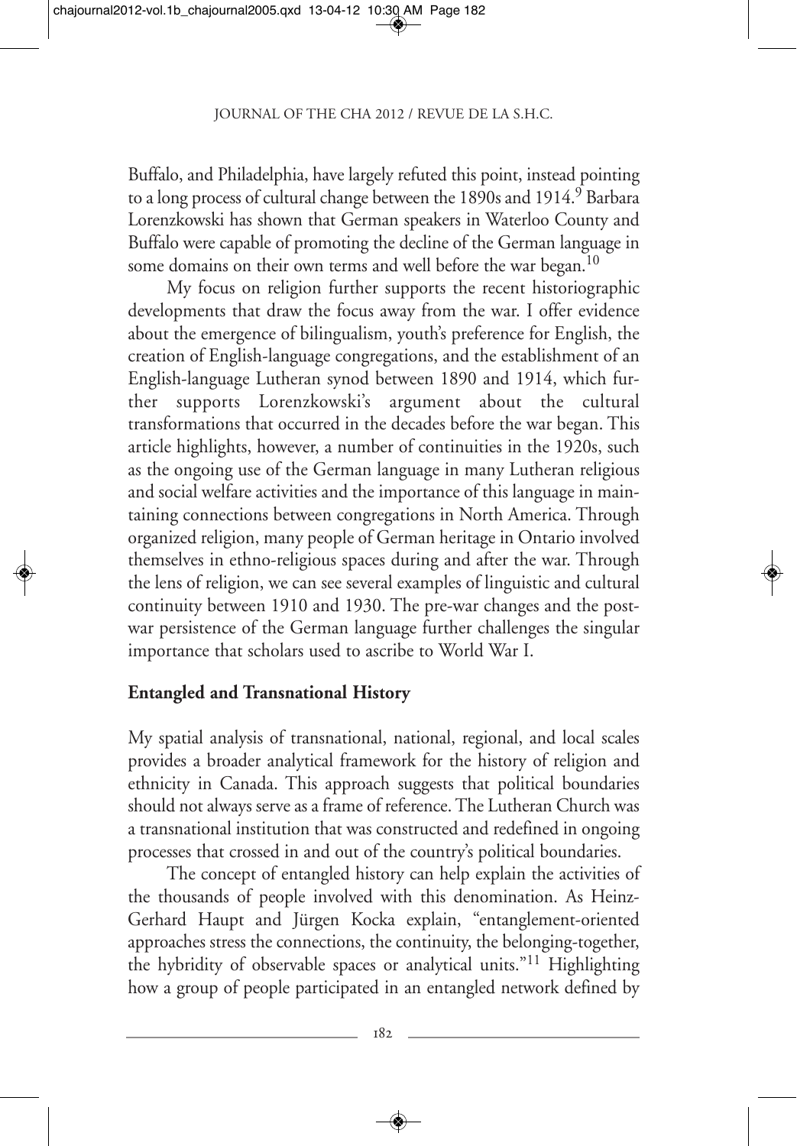Buffalo, and Philadelphia, have largely refuted this point, instead pointing to a long process of cultural change between the 1890s and 1914.<sup>9</sup> Barbara Lorenzkowski has shown that German speakers in Waterloo County and Buffalo were capable of promoting the decline of the German language in some domains on their own terms and well before the war began.<sup>10</sup>

My focus on religion further supports the recent historiographic developments that draw the focus away from the war. I offer evidence about the emergence of bilingualism, youth's preference for English, the creation of English-language congregations, and the establishment of an English-language Lutheran synod between 1890 and 1914, which further supports Lorenzkowski's argument about the cultural transformations that occurred in the decades before the war began. This article highlights, however, a number of continuities in the 1920s, such as the ongoing use of the German language in many Lutheran religious and social welfare activities and the importance of this language in maintaining connections between congregations in North America. Through organized religion, many people of German heritage in Ontario involved themselves in ethno-religious spaces during and after the war. Through the lens of religion, we can see several examples of linguistic and cultural continuity between 1910 and 1930. The pre-war changes and the postwar persistence of the German language further challenges the singular importance that scholars used to ascribe to World War I.

## **Entangled and Transnational History**

My spatial analysis of transnational, national, regional, and local scales provides a broader analytical framework for the history of religion and ethnicity in Canada. This approach suggests that political boundaries should not always serve as a frame of reference. The Lutheran Church was a transnational institution that was constructed and redefined in ongoing processes that crossed in and out of the country's political boundaries.

The concept of entangled history can help explain the activities of the thousands of people involved with this denomination. As Heinz-Gerhard Haupt and Jürgen Kocka explain, "entanglement-oriented approaches stress the connections, the continuity, the belonging-together, the hybridity of observable spaces or analytical units."11 Highlighting how a group of people participated in an entangled network defined by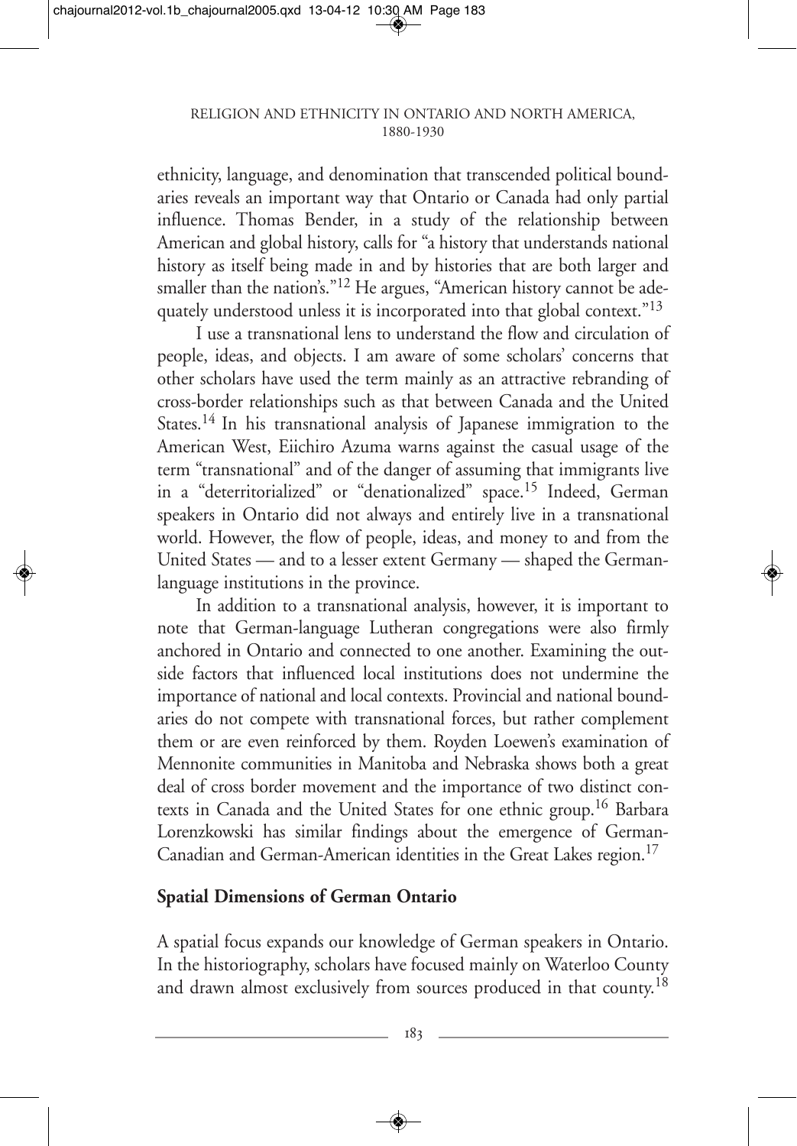ethnicity, language, and denomination that transcended political boundaries reveals an important way that Ontario or Canada had only partial influence. Thomas Bender, in a study of the relationship between American and global history, calls for "a history that understands national history as itself being made in and by histories that are both larger and smaller than the nation's."<sup>12</sup> He argues, "American history cannot be adequately understood unless it is incorporated into that global context."<sup>13</sup>

I use a transnational lens to understand the flow and circulation of people, ideas, and objects. I am aware of some scholars' concerns that other scholars have used the term mainly as an attractive rebranding of cross-border relationships such as that between Canada and the United States.14 In his transnational analysis of Japanese immigration to the American West, Eiichiro Azuma warns against the casual usage of the term "transnational" and of the danger of assuming that immigrants live in a "deterritorialized" or "denationalized" space.<sup>15</sup> Indeed, German speakers in Ontario did not always and entirely live in a transnational world. However, the flow of people, ideas, and money to and from the United States — and to a lesser extent Germany — shaped the Germanlanguage institutions in the province.

In addition to a transnational analysis, however, it is important to note that German-language Lutheran congregations were also firmly anchored in Ontario and connected to one another. Examining the outside factors that influenced local institutions does not undermine the importance of national and local contexts. Provincial and national boundaries do not compete with transnational forces, but rather complement them or are even reinforced by them. Royden Loewen's examination of Mennonite communities in Manitoba and Nebraska shows both a great deal of cross border movement and the importance of two distinct contexts in Canada and the United States for one ethnic group.<sup>16</sup> Barbara Lorenzkowski has similar findings about the emergence of German-Canadian and German-American identities in the Great Lakes region.17

## **Spatial Dimensions of German Ontario**

A spatial focus expands our knowledge of German speakers in Ontario. In the historiography, scholars have focused mainly on Waterloo County and drawn almost exclusively from sources produced in that county.<sup>18</sup>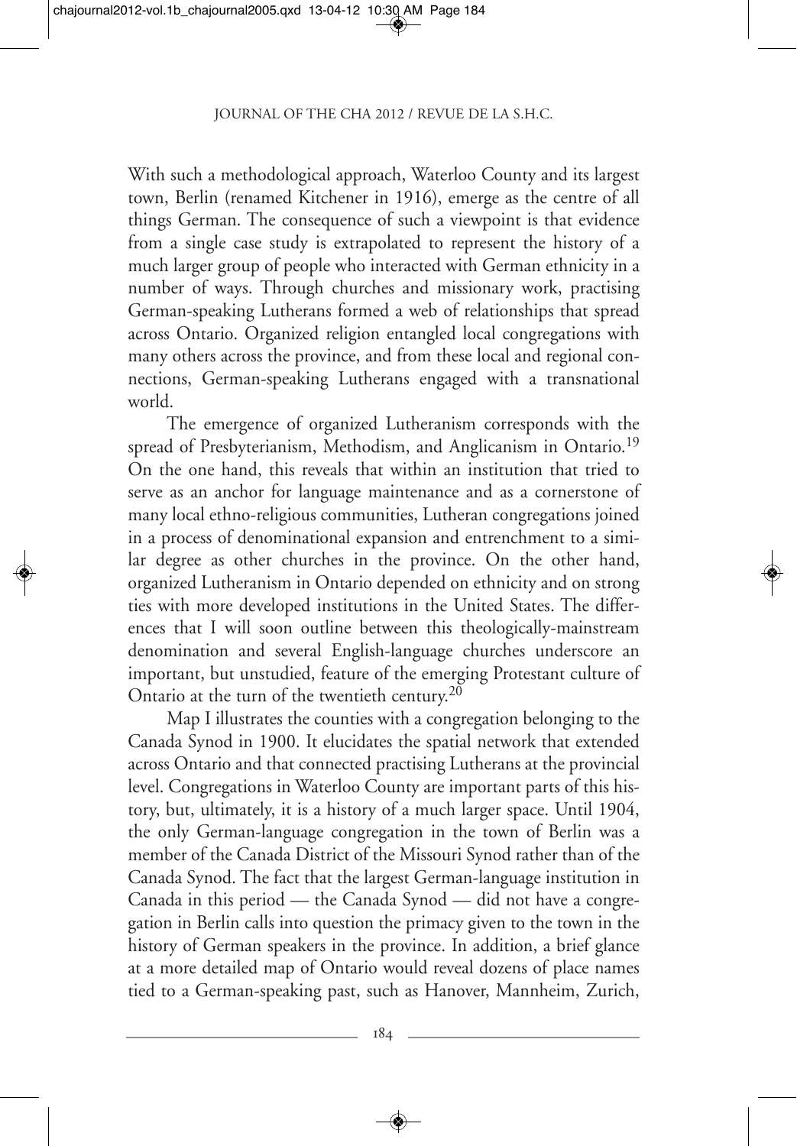With such a methodological approach, Waterloo County and its largest town, Berlin (renamed Kitchener in 1916), emerge as the centre of all things German. The consequence of such a viewpoint is that evidence from a single case study is extrapolated to represent the history of a much larger group of people who interacted with German ethnicity in a number of ways. Through churches and missionary work, practising German-speaking Lutherans formed a web of relationships that spread across Ontario. Organized religion entangled local congregations with many others across the province, and from these local and regional connections, German-speaking Lutherans engaged with a transnational world.

The emergence of organized Lutheranism corresponds with the spread of Presbyterianism, Methodism, and Anglicanism in Ontario.<sup>19</sup> On the one hand, this reveals that within an institution that tried to serve as an anchor for language maintenance and as a cornerstone of many local ethno-religious communities, Lutheran congregations joined in a process of denominational expansion and entrenchment to a similar degree as other churches in the province. On the other hand, organized Lutheranism in Ontario depended on ethnicity and on strong ties with more developed institutions in the United States. The differences that I will soon outline between this theologically-mainstream denomination and several English-language churches underscore an important, but unstudied, feature of the emerging Protestant culture of Ontario at the turn of the twentieth century.20

Map I illustrates the counties with a congregation belonging to the Canada Synod in 1900. It elucidates the spatial network that extended across Ontario and that connected practising Lutherans at the provincial level. Congregations in Waterloo County are important parts of this history, but, ultimately, it is a history of a much larger space. Until 1904, the only German-language congregation in the town of Berlin was a member of the Canada District of the Missouri Synod rather than of the Canada Synod. The fact that the largest German-language institution in Canada in this period — the Canada Synod — did not have a congregation in Berlin calls into question the primacy given to the town in the history of German speakers in the province. In addition, a brief glance at a more detailed map of Ontario would reveal dozens of place names tied to a German-speaking past, such as Hanover, Mannheim, Zurich,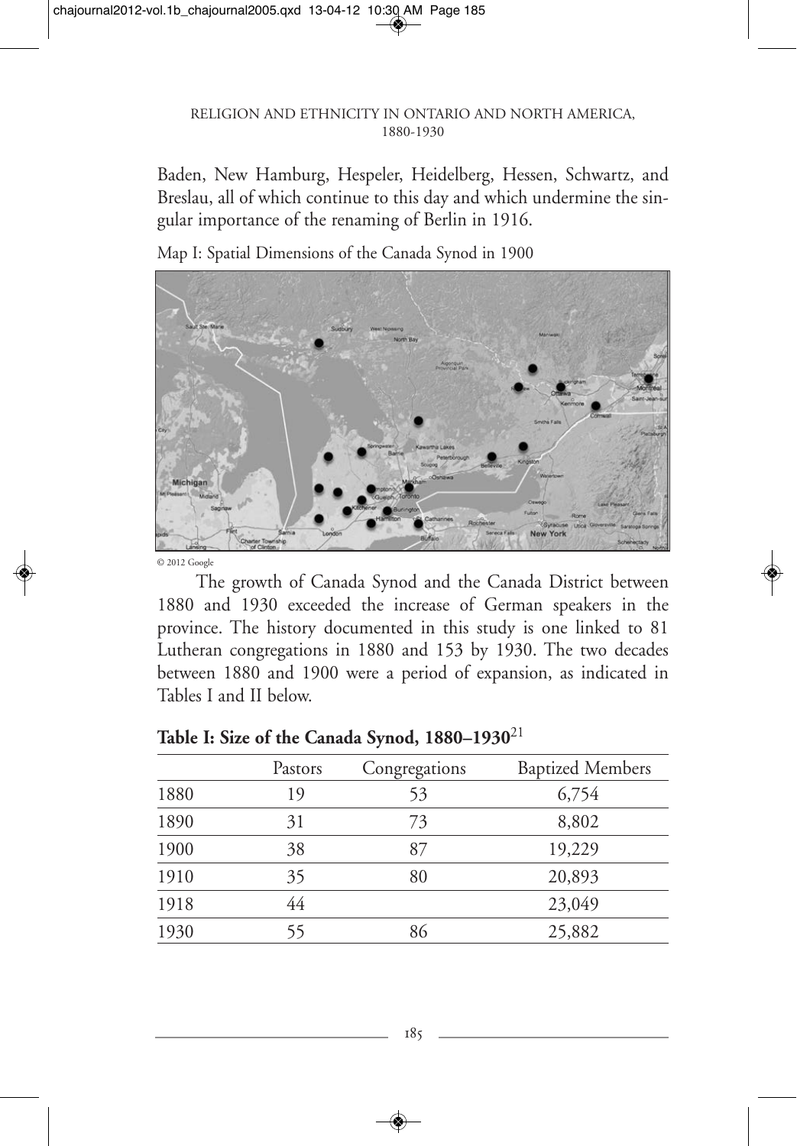Baden, New Hamburg, Hespeler, Heidelberg, Hessen, Schwartz, and Breslau, all of which continue to this day and which undermine the singular importance of the renaming of Berlin in 1916.

Michigan York

Map I: Spatial Dimensions of the Canada Synod in 1900

© 2012 Google

The growth of Canada Synod and the Canada District between 1880 and 1930 exceeded the increase of German speakers in the province. The history documented in this study is one linked to 81 Lutheran congregations in 1880 and 153 by 1930. The two decades between 1880 and 1900 were a period of expansion, as indicated in Tables I and II below.

|      | Pastors | Congregations | <b>Baptized Members</b> |
|------|---------|---------------|-------------------------|
| 1880 | 19      | 53            | 6,754                   |
| 1890 | 31      | 73            | 8,802                   |
| 1900 | 38      | 87            | 19,229                  |
| 1910 | 35      | 80            | 20,893                  |
| 1918 | 44      |               | 23,049                  |
| 1930 | 55      | 86            | 25,882                  |

#### **Table I: Size of the Canada Synod, 1880–1930**<sup>21</sup>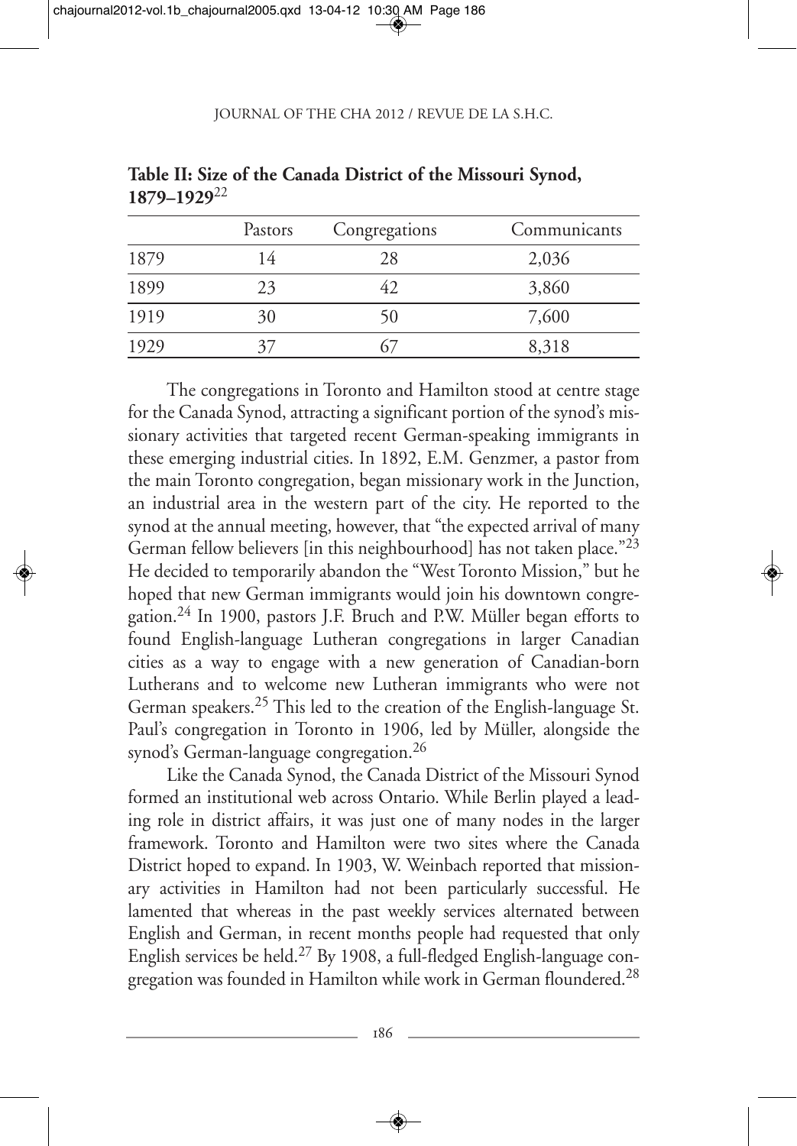|      | Pastors | Congregations | Communicants |
|------|---------|---------------|--------------|
| 1879 | 14      | 28            | 2,036        |
| 1899 | 23      | 42            | 3,860        |
| 1919 | 30      | 50            | 7,600        |
| 1929 |         |               | 8,318        |

**Table II: Size of the Canada District of the Missouri Synod, 1879–1929**<sup>22</sup>

The congregations in Toronto and Hamilton stood at centre stage for the Canada Synod, attracting a significant portion of the synod's missionary activities that targeted recent German-speaking immigrants in these emerging industrial cities. In 1892, E.M. Genzmer, a pastor from the main Toronto congregation, began missionary work in the Junction, an industrial area in the western part of the city. He reported to the synod at the annual meeting, however, that "the expected arrival of many German fellow believers [in this neighbourhood] has not taken place."<sup>23</sup> He decided to temporarily abandon the "West Toronto Mission," but he hoped that new German immigrants would join his downtown congregation.24 In 1900, pastors J.F. Bruch and P.W. Müller began efforts to found English-language Lutheran congregations in larger Canadian cities as a way to engage with a new generation of Canadian-born Lutherans and to welcome new Lutheran immigrants who were not German speakers.25 This led to the creation of the English-language St. Paul's congregation in Toronto in 1906, led by Müller, alongside the synod's German-language congregation.<sup>26</sup>

Like the Canada Synod, the Canada District of the Missouri Synod formed an institutional web across Ontario. While Berlin played a leading role in district affairs, it was just one of many nodes in the larger framework. Toronto and Hamilton were two sites where the Canada District hoped to expand. In 1903, W. Weinbach reported that missionary activities in Hamilton had not been particularly successful. He lamented that whereas in the past weekly services alternated between English and German, in recent months people had requested that only English services be held.27 By 1908, a full-fledged English-language congregation was founded in Hamilton while work in German floundered.<sup>28</sup>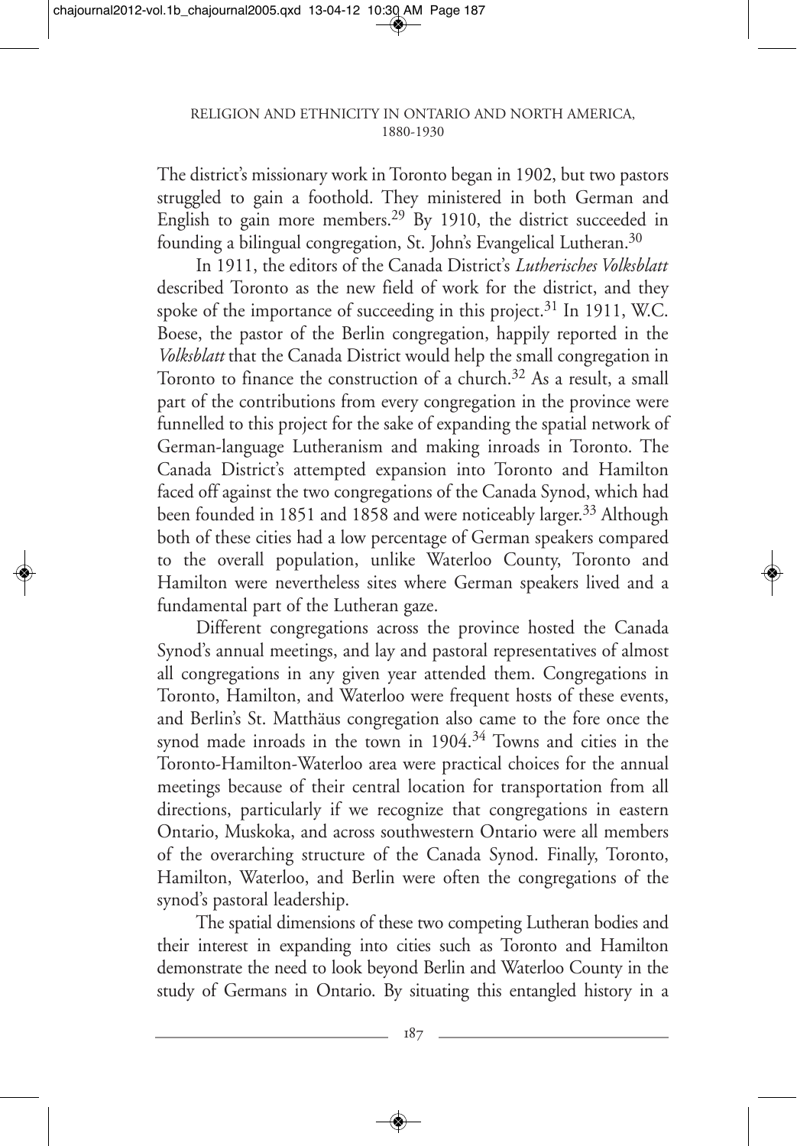The district's missionary work in Toronto began in 1902, but two pastors struggled to gain a foothold. They ministered in both German and English to gain more members.<sup>29</sup> By 1910, the district succeeded in founding a bilingual congregation, St. John's Evangelical Lutheran.<sup>30</sup>

In 1911, the editors of the Canada District's *Lutherisches Volksblatt* described Toronto as the new field of work for the district, and they spoke of the importance of succeeding in this project.<sup>31</sup> In 1911, W.C. Boese, the pastor of the Berlin congregation, happily reported in the *Volksblatt* that the Canada District would help the small congregation in Toronto to finance the construction of a church.<sup>32</sup> As a result, a small part of the contributions from every congregation in the province were funnelled to this project for the sake of expanding the spatial network of German-language Lutheranism and making inroads in Toronto. The Canada District's attempted expansion into Toronto and Hamilton faced off against the two congregations of the Canada Synod, which had been founded in 1851 and 1858 and were noticeably larger.<sup>33</sup> Although both of these cities had a low percentage of German speakers compared to the overall population, unlike Waterloo County, Toronto and Hamilton were nevertheless sites where German speakers lived and a fundamental part of the Lutheran gaze.

Different congregations across the province hosted the Canada Synod's annual meetings, and lay and pastoral representatives of almost all congregations in any given year attended them. Congregations in Toronto, Hamilton, and Waterloo were frequent hosts of these events, and Berlin's St. Matthäus congregation also came to the fore once the synod made inroads in the town in 1904.<sup>34</sup> Towns and cities in the Toronto-Hamilton-Waterloo area were practical choices for the annual meetings because of their central location for transportation from all directions, particularly if we recognize that congregations in eastern Ontario, Muskoka, and across southwestern Ontario were all members of the overarching structure of the Canada Synod. Finally, Toronto, Hamilton, Waterloo, and Berlin were often the congregations of the synod's pastoral leadership.

The spatial dimensions of these two competing Lutheran bodies and their interest in expanding into cities such as Toronto and Hamilton demonstrate the need to look beyond Berlin and Waterloo County in the study of Germans in Ontario. By situating this entangled history in a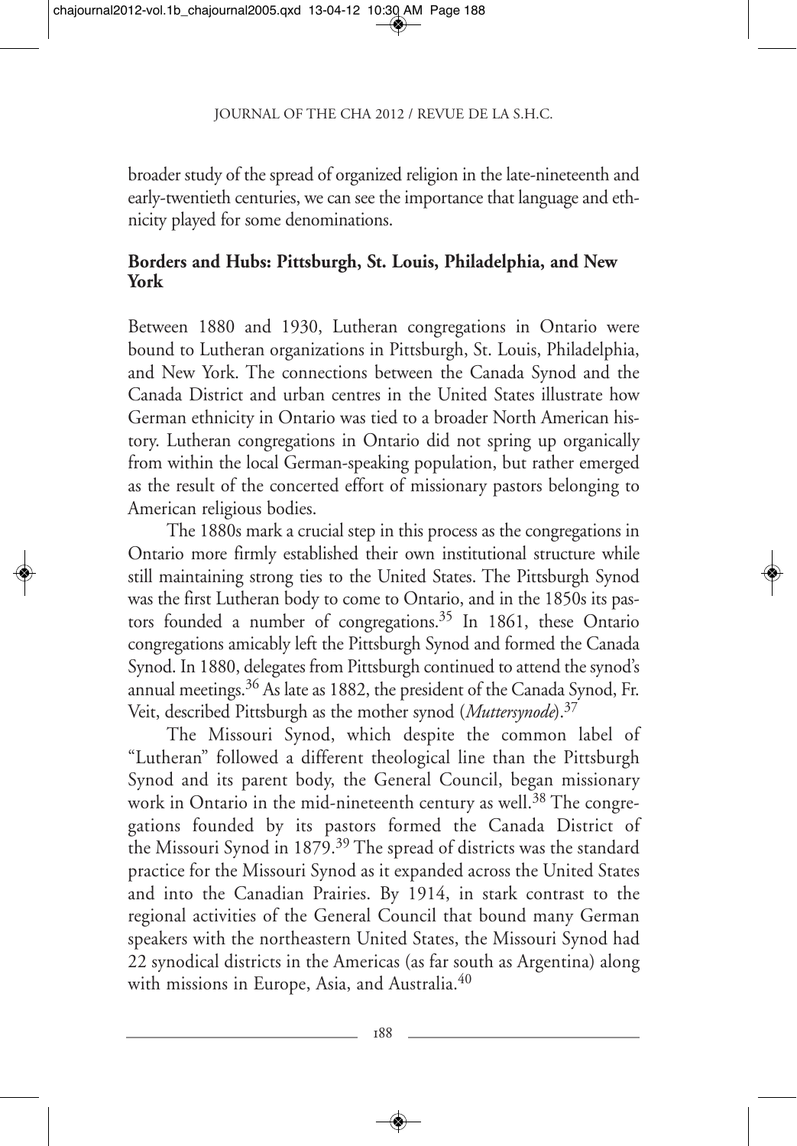broader study of the spread of organized religion in the late-nineteenth and early-twentieth centuries, we can see the importance that language and ethnicity played for some denominations.

### **Borders and Hubs: Pittsburgh, St. Louis, Philadelphia, and New York**

Between 1880 and 1930, Lutheran congregations in Ontario were bound to Lutheran organizations in Pittsburgh, St. Louis, Philadelphia, and New York. The connections between the Canada Synod and the Canada District and urban centres in the United States illustrate how German ethnicity in Ontario was tied to a broader North American history. Lutheran congregations in Ontario did not spring up organically from within the local German-speaking population, but rather emerged as the result of the concerted effort of missionary pastors belonging to American religious bodies.

The 1880s mark a crucial step in this process as the congregations in Ontario more firmly established their own institutional structure while still maintaining strong ties to the United States. The Pittsburgh Synod was the first Lutheran body to come to Ontario, and in the 1850s its pastors founded a number of congregations.<sup>35</sup> In 1861, these Ontario congregations amicably left the Pittsburgh Synod and formed the Canada Synod. In 1880, delegates from Pittsburgh continued to attend the synod's annual meetings.<sup>36</sup> As late as 1882, the president of the Canada Synod, Fr. Veit, described Pittsburgh as the mother synod (*Muttersynode*).37

The Missouri Synod, which despite the common label of "Lutheran" followed a different theological line than the Pittsburgh Synod and its parent body, the General Council, began missionary work in Ontario in the mid-nineteenth century as well.<sup>38</sup> The congregations founded by its pastors formed the Canada District of the Missouri Synod in 1879.<sup>39</sup> The spread of districts was the standard practice for the Missouri Synod as it expanded across the United States and into the Canadian Prairies. By 1914, in stark contrast to the regional activities of the General Council that bound many German speakers with the northeastern United States, the Missouri Synod had 22 synodical districts in the Americas (as far south as Argentina) along with missions in Europe, Asia, and Australia.<sup>40</sup>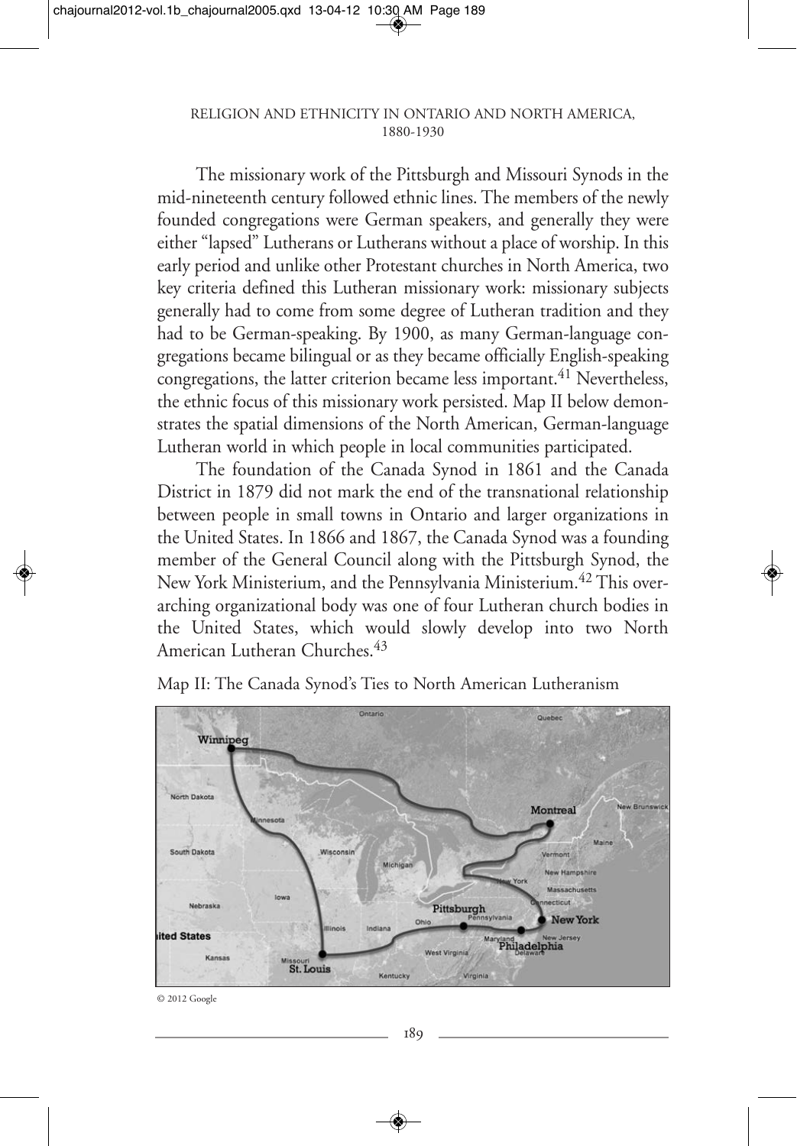#### RELIGION AND ETHNICITY IN ONTARIO AND NORTH AMERICA, 1880-1930

The missionary work of the Pittsburgh and Missouri Synods in the mid-nineteenth century followed ethnic lines. The members of the newly founded congregations were German speakers, and generally they were either "lapsed" Lutherans or Lutherans without a place of worship. In this early period and unlike other Protestant churches in North America, two key criteria defined this Lutheran missionary work: missionary subjects generally had to come from some degree of Lutheran tradition and they had to be German-speaking. By 1900, as many German-language congregations became bilingual or as they became officially English-speaking congregations, the latter criterion became less important.<sup>41</sup> Nevertheless, the ethnic focus of this missionary work persisted. Map II below demonstrates the spatial dimensions of the North American, German-language Lutheran world in which people in local communities participated.

The foundation of the Canada Synod in 1861 and the Canada District in 1879 did not mark the end of the transnational relationship between people in small towns in Ontario and larger organizations in the United States. In 1866 and 1867, the Canada Synod was a founding member of the General Council along with the Pittsburgh Synod, the New York Ministerium, and the Pennsylvania Ministerium.<sup>42</sup> This overarching organizational body was one of four Lutheran church bodies in the United States, which would slowly develop into two North American Lutheran Churches.<sup>43</sup>



Map II: The Canada Synod's Ties to North American Lutheranism

<sup>© 2012</sup> Google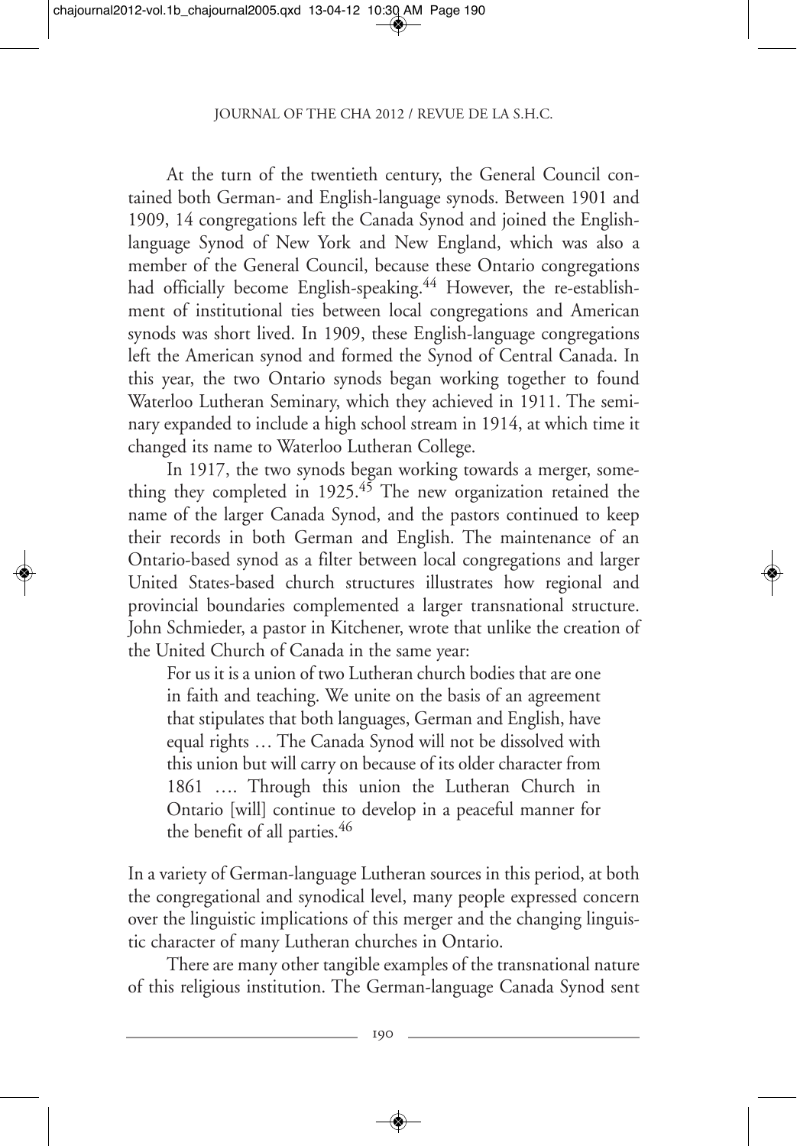At the turn of the twentieth century, the General Council contained both German- and English-language synods. Between 1901 and 1909, 14 congregations left the Canada Synod and joined the Englishlanguage Synod of New York and New England, which was also a member of the General Council, because these Ontario congregations had officially become English-speaking.<sup>44</sup> However, the re-establishment of institutional ties between local congregations and American synods was short lived. In 1909, these English-language congregations left the American synod and formed the Synod of Central Canada. In this year, the two Ontario synods began working together to found Waterloo Lutheran Seminary, which they achieved in 1911. The seminary expanded to include a high school stream in 1914, at which time it changed its name to Waterloo Lutheran College.

In 1917, the two synods began working towards a merger, something they completed in 1925.<sup>45</sup> The new organization retained the name of the larger Canada Synod, and the pastors continued to keep their records in both German and English. The maintenance of an Ontario-based synod as a filter between local congregations and larger United States-based church structures illustrates how regional and provincial boundaries complemented a larger transnational structure. John Schmieder, a pastor in Kitchener, wrote that unlike the creation of the United Church of Canada in the same year:

For us it is a union of two Lutheran church bodies that are one in faith and teaching. We unite on the basis of an agreement that stipulates that both languages, German and English, have equal rights … The Canada Synod will not be dissolved with this union but will carry on because of its older character from 1861 …. Through this union the Lutheran Church in Ontario [will] continue to develop in a peaceful manner for the benefit of all parties.<sup>46</sup>

In a variety of German-language Lutheran sources in this period, at both the congregational and synodical level, many people expressed concern over the linguistic implications of this merger and the changing linguistic character of many Lutheran churches in Ontario.

There are many other tangible examples of the transnational nature of this religious institution. The German-language Canada Synod sent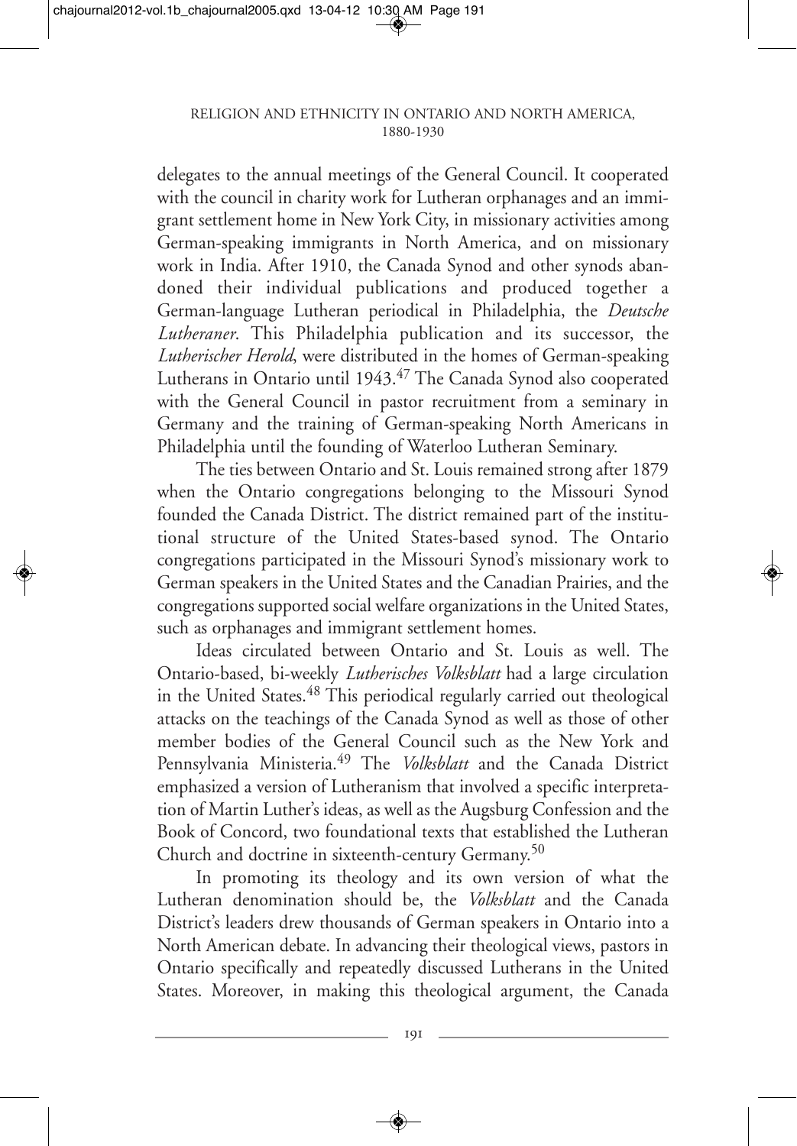delegates to the annual meetings of the General Council. It cooperated with the council in charity work for Lutheran orphanages and an immigrant settlement home in New York City, in missionary activities among German-speaking immigrants in North America, and on missionary work in India. After 1910, the Canada Synod and other synods abandoned their individual publications and produced together a German-language Lutheran periodical in Philadelphia, the *Deutsche Lutheraner*. This Philadelphia publication and its successor, the *Lutherischer Herold*, were distributed in the homes of German-speaking Lutherans in Ontario until 1943.<sup>47</sup> The Canada Synod also cooperated with the General Council in pastor recruitment from a seminary in Germany and the training of German-speaking North Americans in Philadelphia until the founding of Waterloo Lutheran Seminary.

The ties between Ontario and St. Louis remained strong after 1879 when the Ontario congregations belonging to the Missouri Synod founded the Canada District. The district remained part of the institutional structure of the United States-based synod. The Ontario congregations participated in the Missouri Synod's missionary work to German speakers in the United States and the Canadian Prairies, and the congregations supported social welfare organizations in the United States, such as orphanages and immigrant settlement homes.

Ideas circulated between Ontario and St. Louis as well. The Ontario-based, bi-weekly *Lutherisches Volksblatt* had a large circulation in the United States.<sup>48</sup> This periodical regularly carried out theological attacks on the teachings of the Canada Synod as well as those of other member bodies of the General Council such as the New York and Pennsylvania Ministeria.49 The *Volksblatt* and the Canada District emphasized a version of Lutheranism that involved a specific interpretation of Martin Luther's ideas, as well as the Augsburg Confession and the Book of Concord, two foundational texts that established the Lutheran Church and doctrine in sixteenth-century Germany.<sup>50</sup>

In promoting its theology and its own version of what the Lutheran denomination should be, the *Volksblatt* and the Canada District's leaders drew thousands of German speakers in Ontario into a North American debate. In advancing their theological views, pastors in Ontario specifically and repeatedly discussed Lutherans in the United States. Moreover, in making this theological argument, the Canada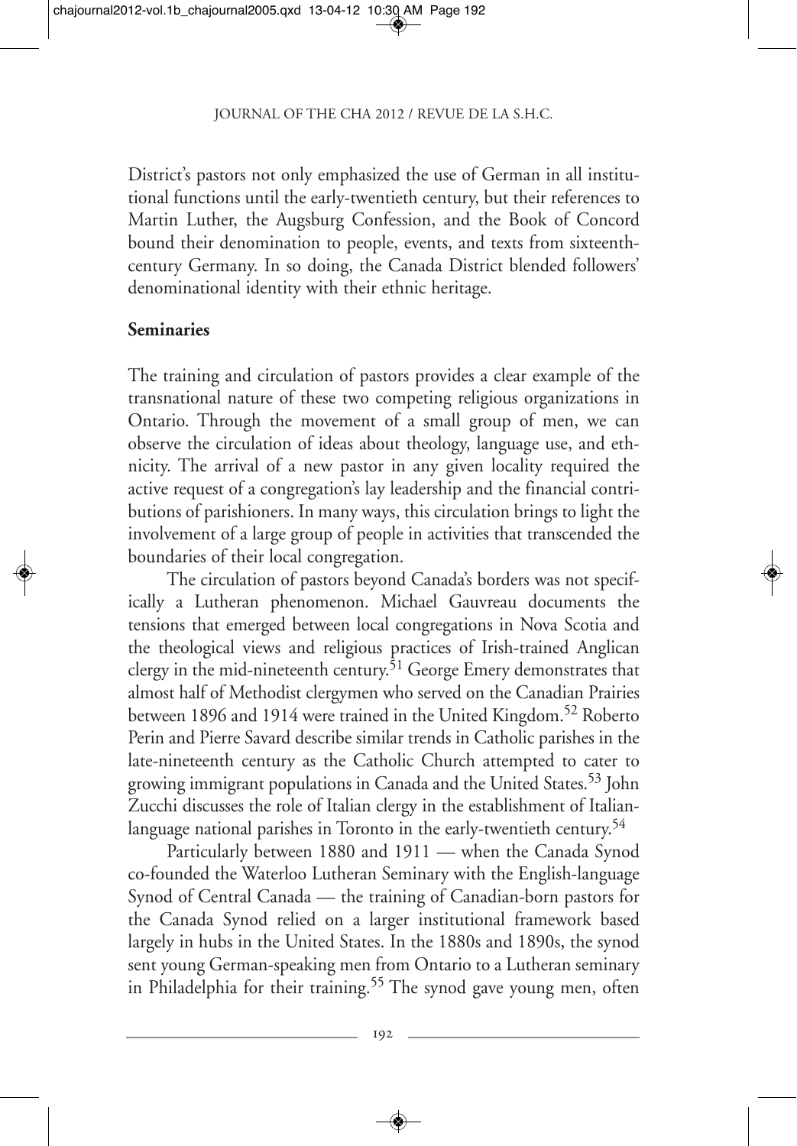District's pastors not only emphasized the use of German in all institutional functions until the early-twentieth century, but their references to Martin Luther, the Augsburg Confession, and the Book of Concord bound their denomination to people, events, and texts from sixteenthcentury Germany. In so doing, the Canada District blended followers' denominational identity with their ethnic heritage.

### **Seminaries**

The training and circulation of pastors provides a clear example of the transnational nature of these two competing religious organizations in Ontario. Through the movement of a small group of men, we can observe the circulation of ideas about theology, language use, and ethnicity. The arrival of a new pastor in any given locality required the active request of a congregation's lay leadership and the financial contributions of parishioners. In many ways, this circulation brings to light the involvement of a large group of people in activities that transcended the boundaries of their local congregation.

The circulation of pastors beyond Canada's borders was not specifically a Lutheran phenomenon. Michael Gauvreau documents the tensions that emerged between local congregations in Nova Scotia and the theological views and religious practices of Irish-trained Anglican clergy in the mid-nineteenth century.<sup>51</sup> George Emery demonstrates that almost half of Methodist clergymen who served on the Canadian Prairies between 1896 and 1914 were trained in the United Kingdom.<sup>52</sup> Roberto Perin and Pierre Savard describe similar trends in Catholic parishes in the late-nineteenth century as the Catholic Church attempted to cater to growing immigrant populations in Canada and the United States.53 John Zucchi discusses the role of Italian clergy in the establishment of Italianlanguage national parishes in Toronto in the early-twentieth century.<sup>54</sup>

Particularly between 1880 and 1911 — when the Canada Synod co-founded the Waterloo Lutheran Seminary with the English-language Synod of Central Canada — the training of Canadian-born pastors for the Canada Synod relied on a larger institutional framework based largely in hubs in the United States. In the 1880s and 1890s, the synod sent young German-speaking men from Ontario to a Lutheran seminary in Philadelphia for their training.<sup>55</sup> The synod gave young men, often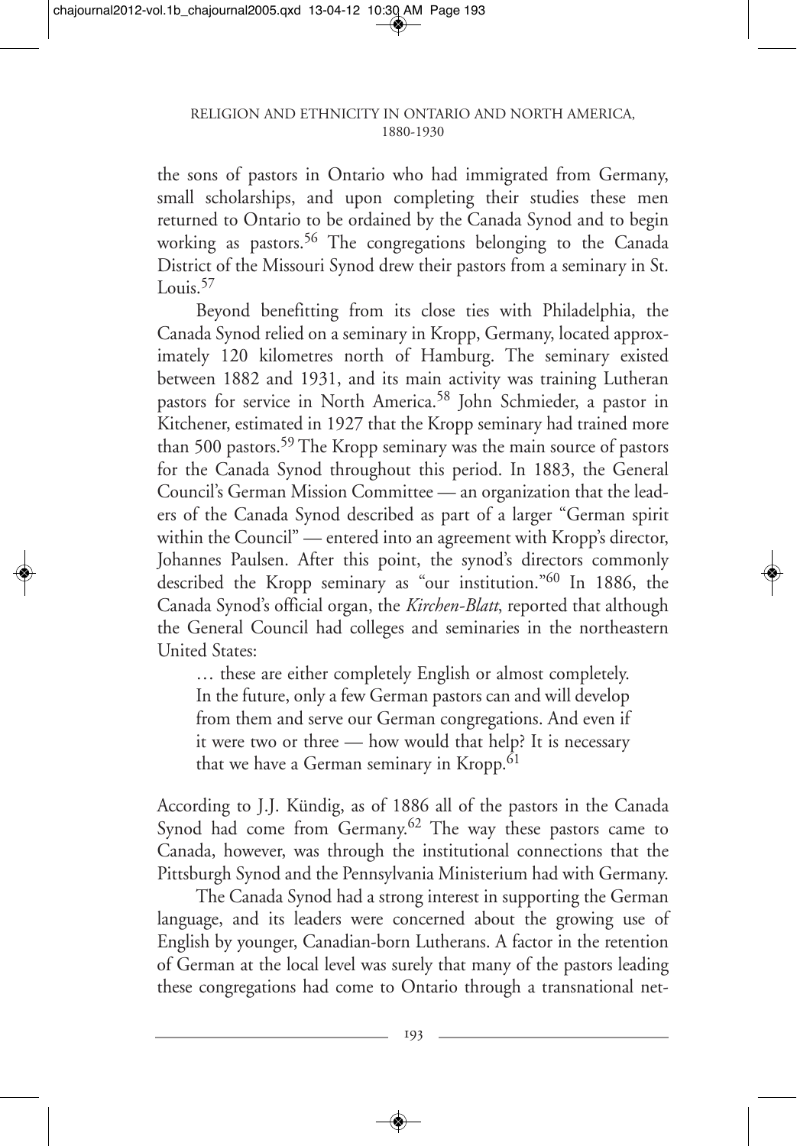the sons of pastors in Ontario who had immigrated from Germany, small scholarships, and upon completing their studies these men returned to Ontario to be ordained by the Canada Synod and to begin working as pastors.<sup>56</sup> The congregations belonging to the Canada District of the Missouri Synod drew their pastors from a seminary in St. Louis.<sup>57</sup>

Beyond benefitting from its close ties with Philadelphia, the Canada Synod relied on a seminary in Kropp, Germany, located approximately 120 kilometres north of Hamburg. The seminary existed between 1882 and 1931, and its main activity was training Lutheran pastors for service in North America.<sup>58</sup> John Schmieder, a pastor in Kitchener, estimated in 1927 that the Kropp seminary had trained more than 500 pastors.59 The Kropp seminary was the main source of pastors for the Canada Synod throughout this period. In 1883, the General Council's German Mission Committee — an organization that the leaders of the Canada Synod described as part of a larger "German spirit within the Council" — entered into an agreement with Kropp's director, Johannes Paulsen. After this point, the synod's directors commonly described the Kropp seminary as "our institution."60 In 1886, the Canada Synod's official organ, the *Kirchen-Blatt*, reported that although the General Council had colleges and seminaries in the northeastern United States:

… these are either completely English or almost completely. In the future, only a few German pastors can and will develop from them and serve our German congregations. And even if it were two or three — how would that help? It is necessary that we have a German seminary in Kropp.<sup>61</sup>

According to J.J. Kündig, as of 1886 all of the pastors in the Canada Synod had come from Germany.<sup>62</sup> The way these pastors came to Canada, however, was through the institutional connections that the Pittsburgh Synod and the Pennsylvania Ministerium had with Germany.

The Canada Synod had a strong interest in supporting the German language, and its leaders were concerned about the growing use of English by younger, Canadian-born Lutherans. A factor in the retention of German at the local level was surely that many of the pastors leading these congregations had come to Ontario through a transnational net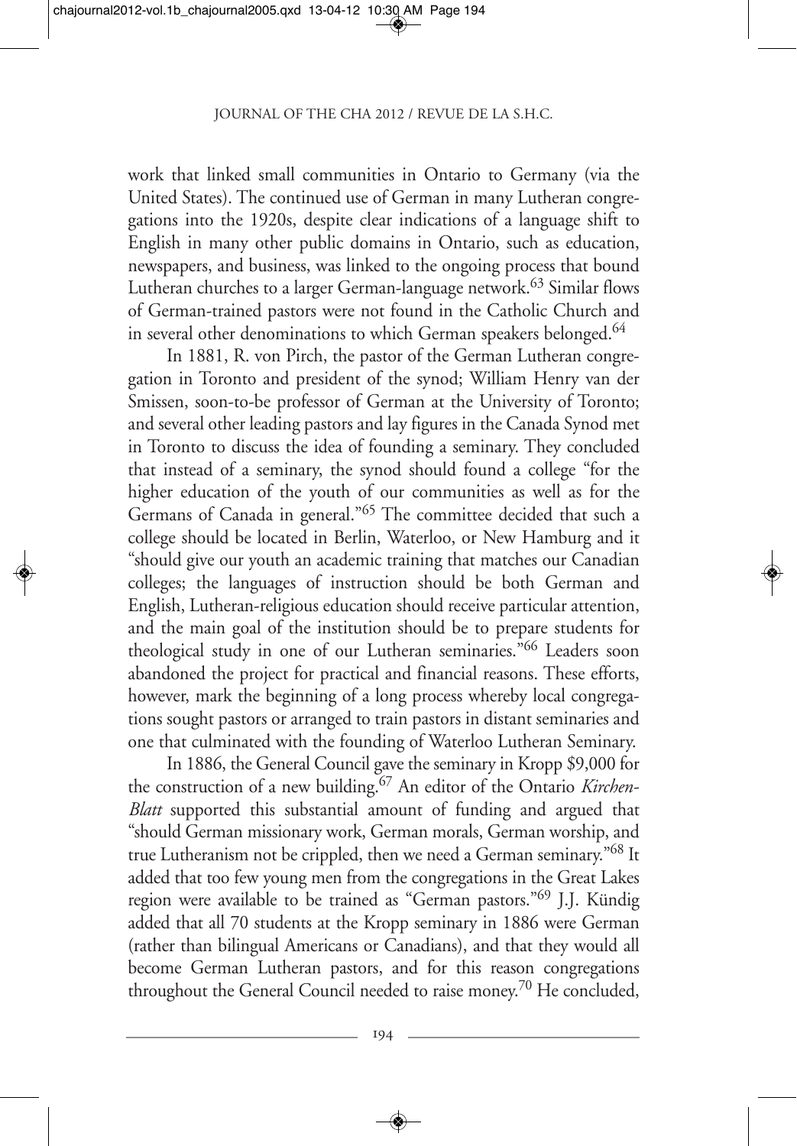work that linked small communities in Ontario to Germany (via the United States). The continued use of German in many Lutheran congregations into the 1920s, despite clear indications of a language shift to English in many other public domains in Ontario, such as education, newspapers, and business, was linked to the ongoing process that bound Lutheran churches to a larger German-language network.<sup>63</sup> Similar flows of German-trained pastors were not found in the Catholic Church and in several other denominations to which German speakers belonged.<sup>64</sup>

In 1881, R. von Pirch, the pastor of the German Lutheran congregation in Toronto and president of the synod; William Henry van der Smissen, soon-to-be professor of German at the University of Toronto; and several other leading pastors and lay figures in the Canada Synod met in Toronto to discuss the idea of founding a seminary. They concluded that instead of a seminary, the synod should found a college "for the higher education of the youth of our communities as well as for the Germans of Canada in general."65 The committee decided that such a college should be located in Berlin, Waterloo, or New Hamburg and it "should give our youth an academic training that matches our Canadian colleges; the languages of instruction should be both German and English, Lutheran-religious education should receive particular attention, and the main goal of the institution should be to prepare students for theological study in one of our Lutheran seminaries.<sup>766</sup> Leaders soon abandoned the project for practical and financial reasons. These efforts, however, mark the beginning of a long process whereby local congregations sought pastors or arranged to train pastors in distant seminaries and one that culminated with the founding of Waterloo Lutheran Seminary.

In 1886, the General Council gave the seminary in Kropp \$9,000 for the construction of a new building.67 An editor of the Ontario *Kirchen-Blatt* supported this substantial amount of funding and argued that "should German missionary work, German morals, German worship, and true Lutheranism not be crippled, then we need a German seminary."<sup>68</sup> It added that too few young men from the congregations in the Great Lakes region were available to be trained as "German pastors."69 J.J. Kündig added that all 70 students at the Kropp seminary in 1886 were German (rather than bilingual Americans or Canadians), and that they would all become German Lutheran pastors, and for this reason congregations throughout the General Council needed to raise money.70 He concluded,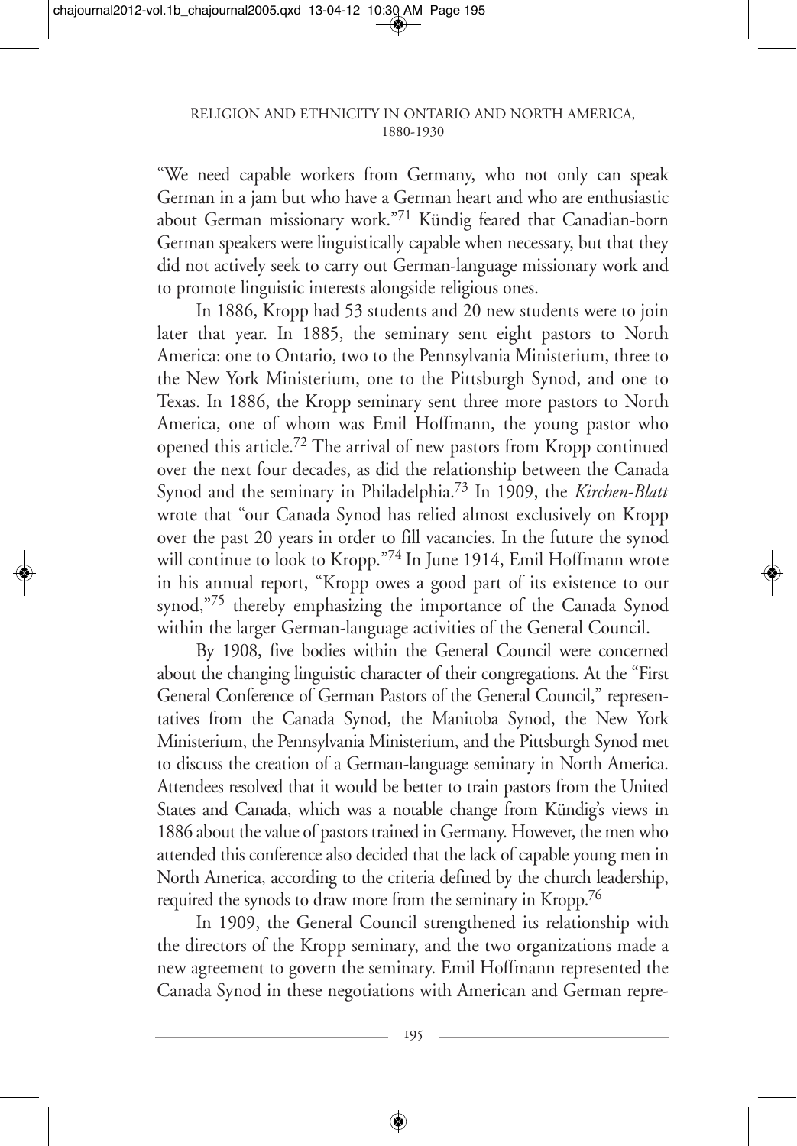"We need capable workers from Germany, who not only can speak German in a jam but who have a German heart and who are enthusiastic about German missionary work."71 Kündig feared that Canadian-born German speakers were linguistically capable when necessary, but that they did not actively seek to carry out German-language missionary work and to promote linguistic interests alongside religious ones.

In 1886, Kropp had 53 students and 20 new students were to join later that year. In 1885, the seminary sent eight pastors to North America: one to Ontario, two to the Pennsylvania Ministerium, three to the New York Ministerium, one to the Pittsburgh Synod, and one to Texas. In 1886, the Kropp seminary sent three more pastors to North America, one of whom was Emil Hoffmann, the young pastor who opened this article.72 The arrival of new pastors from Kropp continued over the next four decades, as did the relationship between the Canada Synod and the seminary in Philadelphia.73 In 1909, the *Kirchen-Blatt* wrote that "our Canada Synod has relied almost exclusively on Kropp over the past 20 years in order to fill vacancies. In the future the synod will continue to look to Kropp."74 In June 1914, Emil Hoffmann wrote in his annual report, "Kropp owes a good part of its existence to our synod,"<sup>75</sup> thereby emphasizing the importance of the Canada Synod within the larger German-language activities of the General Council.

By 1908, five bodies within the General Council were concerned about the changing linguistic character of their congregations. At the "First General Conference of German Pastors of the General Council," representatives from the Canada Synod, the Manitoba Synod, the New York Ministerium, the Pennsylvania Ministerium, and the Pittsburgh Synod met to discuss the creation of a German-language seminary in North America. Attendees resolved that it would be better to train pastors from the United States and Canada, which was a notable change from Kündig's views in 1886 about the value of pastors trained in Germany. However, the men who attended this conference also decided that the lack of capable young men in North America, according to the criteria defined by the church leadership, required the synods to draw more from the seminary in Kropp.<sup>76</sup>

In 1909, the General Council strengthened its relationship with the directors of the Kropp seminary, and the two organizations made a new agreement to govern the seminary. Emil Hoffmann represented the Canada Synod in these negotiations with American and German repre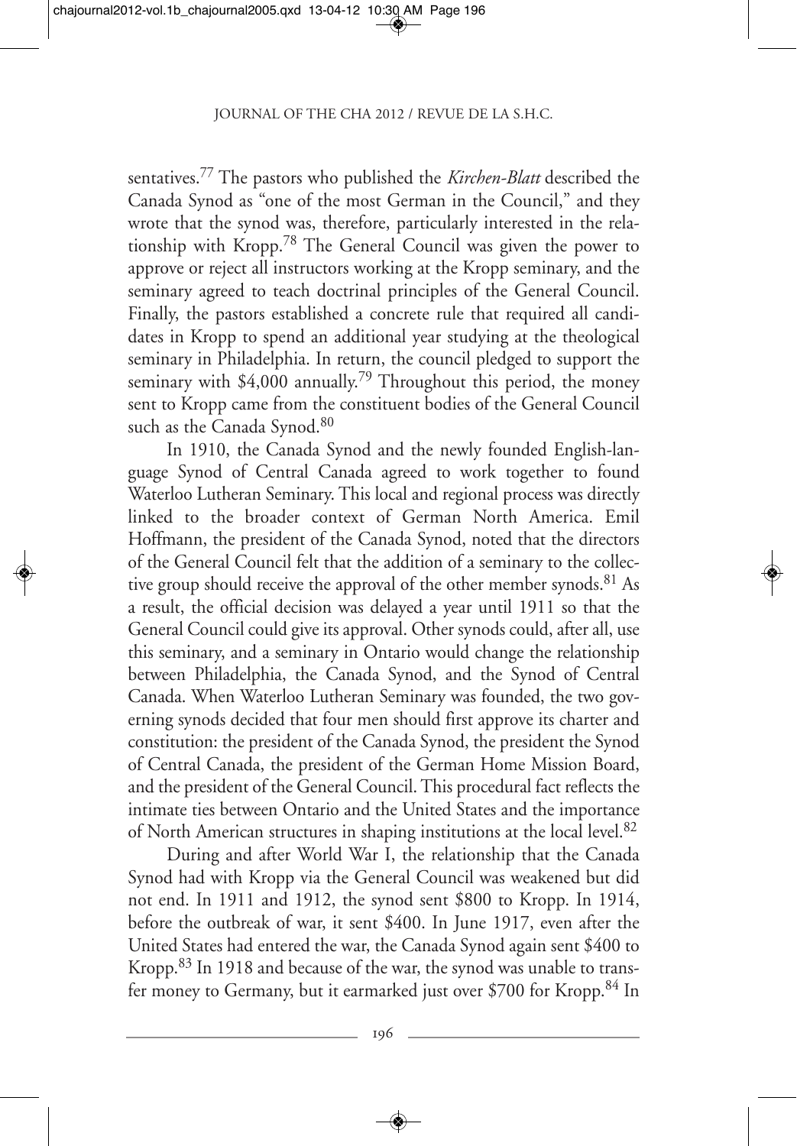sentatives.77 The pastors who published the *Kirchen-Blatt* described the Canada Synod as "one of the most German in the Council," and they wrote that the synod was, therefore, particularly interested in the relationship with Kropp.78 The General Council was given the power to approve or reject all instructors working at the Kropp seminary, and the seminary agreed to teach doctrinal principles of the General Council. Finally, the pastors established a concrete rule that required all candidates in Kropp to spend an additional year studying at the theological seminary in Philadelphia. In return, the council pledged to support the seminary with \$4,000 annually.<sup>79</sup> Throughout this period, the money sent to Kropp came from the constituent bodies of the General Council such as the Canada Synod.<sup>80</sup>

In 1910, the Canada Synod and the newly founded English-language Synod of Central Canada agreed to work together to found Waterloo Lutheran Seminary. This local and regional process was directly linked to the broader context of German North America. Emil Hoffmann, the president of the Canada Synod, noted that the directors of the General Council felt that the addition of a seminary to the collective group should receive the approval of the other member synods.<sup>81</sup> As a result, the official decision was delayed a year until 1911 so that the General Council could give its approval. Other synods could, after all, use this seminary, and a seminary in Ontario would change the relationship between Philadelphia, the Canada Synod, and the Synod of Central Canada. When Waterloo Lutheran Seminary was founded, the two governing synods decided that four men should first approve its charter and constitution: the president of the Canada Synod, the president the Synod of Central Canada, the president of the German Home Mission Board, and the president of the General Council. This procedural fact reflects the intimate ties between Ontario and the United States and the importance of North American structures in shaping institutions at the local level.82

During and after World War I, the relationship that the Canada Synod had with Kropp via the General Council was weakened but did not end. In 1911 and 1912, the synod sent \$800 to Kropp. In 1914, before the outbreak of war, it sent \$400. In June 1917, even after the United States had entered the war, the Canada Synod again sent \$400 to Kropp.83 In 1918 and because of the war, the synod was unable to transfer money to Germany, but it earmarked just over \$700 for Kropp.84 In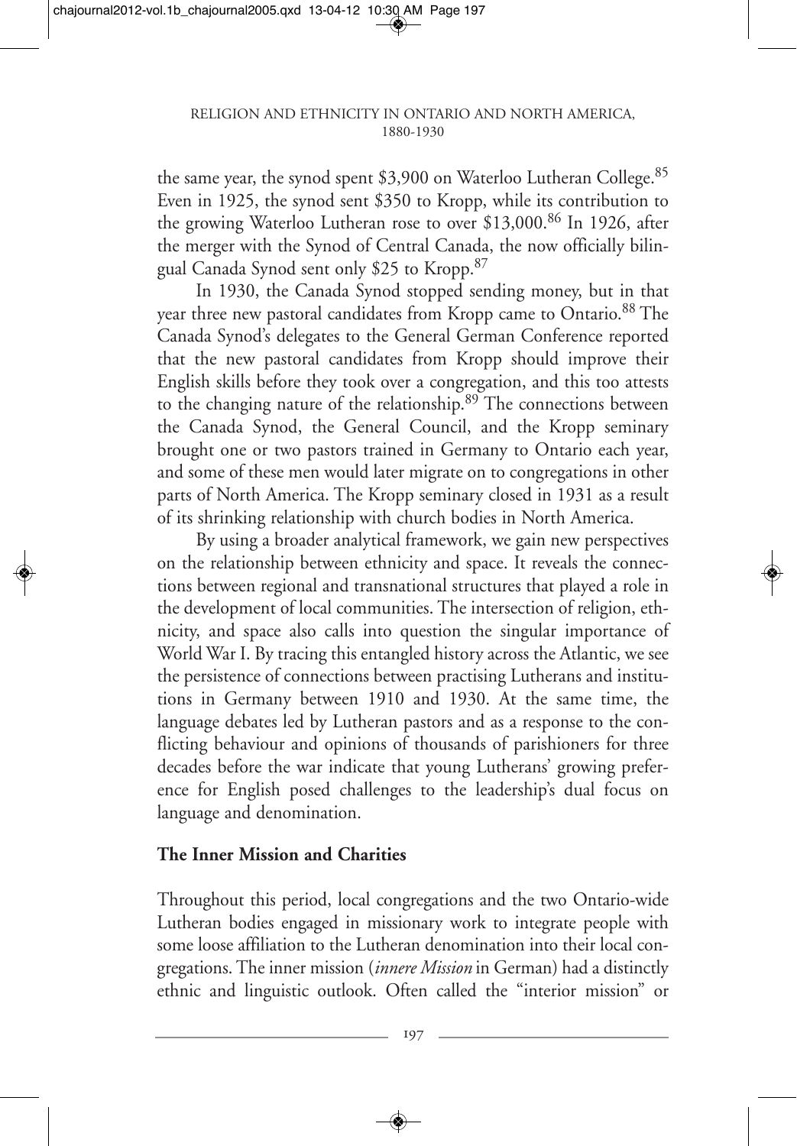the same year, the synod spent \$3,900 on Waterloo Lutheran College.<sup>85</sup> Even in 1925, the synod sent \$350 to Kropp, while its contribution to the growing Waterloo Lutheran rose to over \$13,000.<sup>86</sup> In 1926, after the merger with the Synod of Central Canada, the now officially bilingual Canada Synod sent only \$25 to Kropp.<sup>87</sup>

In 1930, the Canada Synod stopped sending money, but in that year three new pastoral candidates from Kropp came to Ontario.<sup>88</sup> The Canada Synod's delegates to the General German Conference reported that the new pastoral candidates from Kropp should improve their English skills before they took over a congregation, and this too attests to the changing nature of the relationship.<sup>89</sup> The connections between the Canada Synod, the General Council, and the Kropp seminary brought one or two pastors trained in Germany to Ontario each year, and some of these men would later migrate on to congregations in other parts of North America. The Kropp seminary closed in 1931 as a result of its shrinking relationship with church bodies in North America.

By using a broader analytical framework, we gain new perspectives on the relationship between ethnicity and space. It reveals the connections between regional and transnational structures that played a role in the development of local communities. The intersection of religion, ethnicity, and space also calls into question the singular importance of World War I. By tracing this entangled history across the Atlantic, we see the persistence of connections between practising Lutherans and institutions in Germany between 1910 and 1930. At the same time, the language debates led by Lutheran pastors and as a response to the conflicting behaviour and opinions of thousands of parishioners for three decades before the war indicate that young Lutherans' growing preference for English posed challenges to the leadership's dual focus on language and denomination.

## **The Inner Mission and Charities**

Throughout this period, local congregations and the two Ontario-wide Lutheran bodies engaged in missionary work to integrate people with some loose affiliation to the Lutheran denomination into their local congregations. The inner mission (*innere Mission* in German) had a distinctly ethnic and linguistic outlook. Often called the "interior mission" or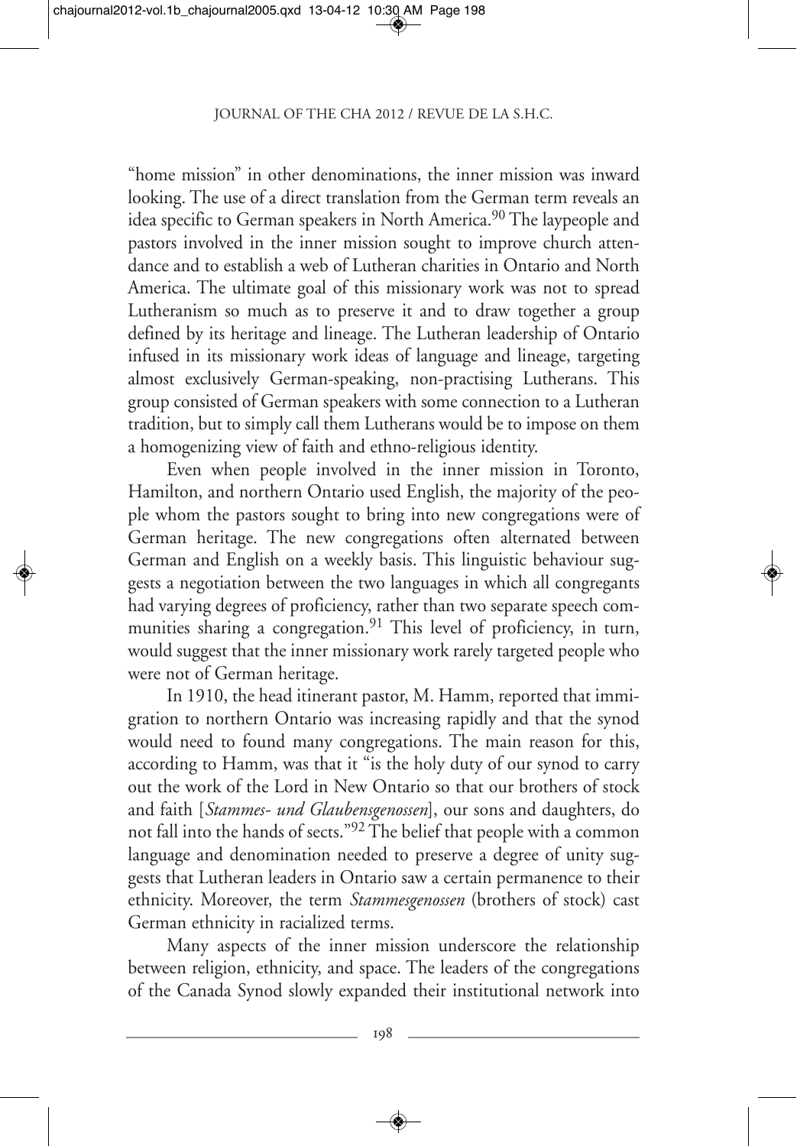"home mission" in other denominations, the inner mission was inward looking. The use of a direct translation from the German term reveals an idea specific to German speakers in North America.<sup>90</sup> The laypeople and pastors involved in the inner mission sought to improve church attendance and to establish a web of Lutheran charities in Ontario and North America. The ultimate goal of this missionary work was not to spread Lutheranism so much as to preserve it and to draw together a group defined by its heritage and lineage. The Lutheran leadership of Ontario infused in its missionary work ideas of language and lineage, targeting almost exclusively German-speaking, non-practising Lutherans. This group consisted of German speakers with some connection to a Lutheran tradition, but to simply call them Lutherans would be to impose on them a homogenizing view of faith and ethno-religious identity.

Even when people involved in the inner mission in Toronto, Hamilton, and northern Ontario used English, the majority of the people whom the pastors sought to bring into new congregations were of German heritage. The new congregations often alternated between German and English on a weekly basis. This linguistic behaviour suggests a negotiation between the two languages in which all congregants had varying degrees of proficiency, rather than two separate speech communities sharing a congregation.<sup>91</sup> This level of proficiency, in turn, would suggest that the inner missionary work rarely targeted people who were not of German heritage.

In 1910, the head itinerant pastor, M. Hamm, reported that immigration to northern Ontario was increasing rapidly and that the synod would need to found many congregations. The main reason for this, according to Hamm, was that it "is the holy duty of our synod to carry out the work of the Lord in New Ontario so that our brothers of stock and faith [*Stammes- und Glaubensgenossen*], our sons and daughters, do not fall into the hands of sects."92 The belief that people with a common language and denomination needed to preserve a degree of unity suggests that Lutheran leaders in Ontario saw a certain permanence to their ethnicity. Moreover, the term *Stammesgenossen* (brothers of stock) cast German ethnicity in racialized terms.

Many aspects of the inner mission underscore the relationship between religion, ethnicity, and space. The leaders of the congregations of the Canada Synod slowly expanded their institutional network into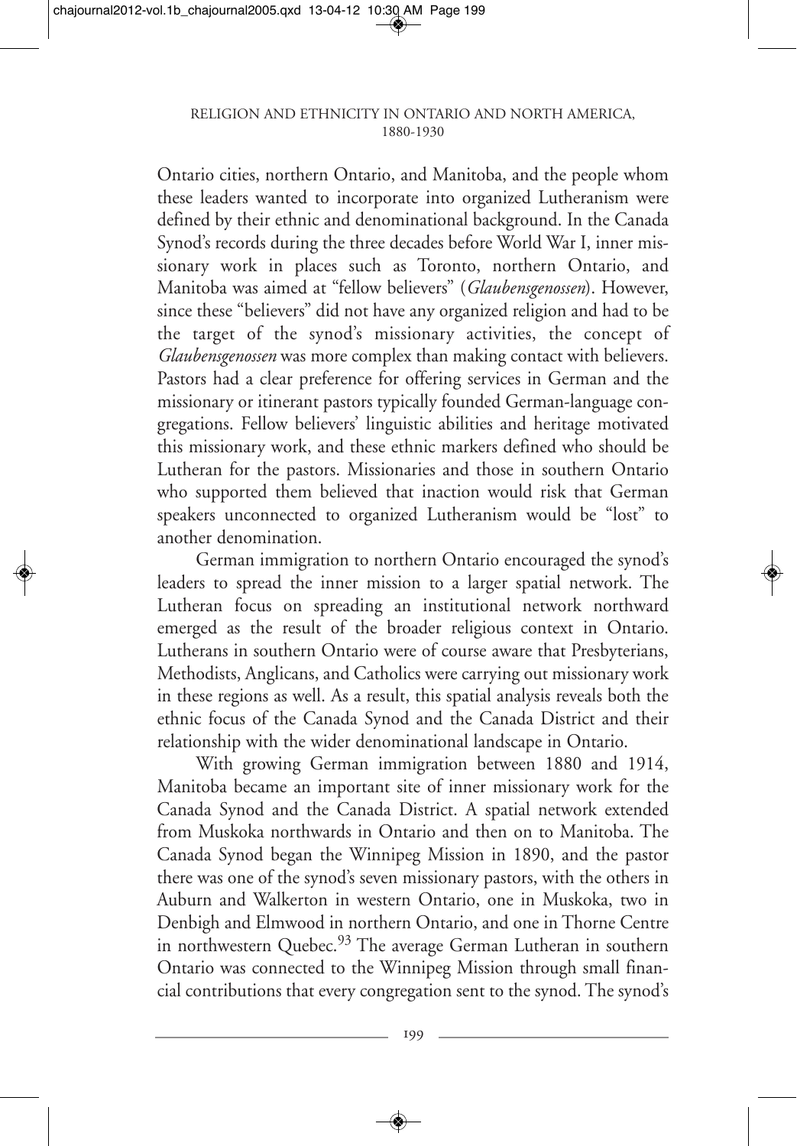Ontario cities, northern Ontario, and Manitoba, and the people whom these leaders wanted to incorporate into organized Lutheranism were defined by their ethnic and denominational background. In the Canada Synod's records during the three decades before World War I, inner missionary work in places such as Toronto, northern Ontario, and Manitoba was aimed at "fellow believers" (*Glaubensgenossen*). However, since these "believers" did not have any organized religion and had to be the target of the synod's missionary activities, the concept of *Glaubensgenossen* was more complex than making contact with believers. Pastors had a clear preference for offering services in German and the missionary or itinerant pastors typically founded German-language congregations. Fellow believers' linguistic abilities and heritage motivated this missionary work, and these ethnic markers defined who should be Lutheran for the pastors. Missionaries and those in southern Ontario who supported them believed that inaction would risk that German speakers unconnected to organized Lutheranism would be "lost" to another denomination.

German immigration to northern Ontario encouraged the synod's leaders to spread the inner mission to a larger spatial network. The Lutheran focus on spreading an institutional network northward emerged as the result of the broader religious context in Ontario. Lutherans in southern Ontario were of course aware that Presbyterians, Methodists, Anglicans, and Catholics were carrying out missionary work in these regions as well. As a result, this spatial analysis reveals both the ethnic focus of the Canada Synod and the Canada District and their relationship with the wider denominational landscape in Ontario.

With growing German immigration between 1880 and 1914, Manitoba became an important site of inner missionary work for the Canada Synod and the Canada District. A spatial network extended from Muskoka northwards in Ontario and then on to Manitoba. The Canada Synod began the Winnipeg Mission in 1890, and the pastor there was one of the synod's seven missionary pastors, with the others in Auburn and Walkerton in western Ontario, one in Muskoka, two in Denbigh and Elmwood in northern Ontario, and one in Thorne Centre in northwestern Quebec.<sup>93</sup> The average German Lutheran in southern Ontario was connected to the Winnipeg Mission through small financial contributions that every congregation sent to the synod. The synod's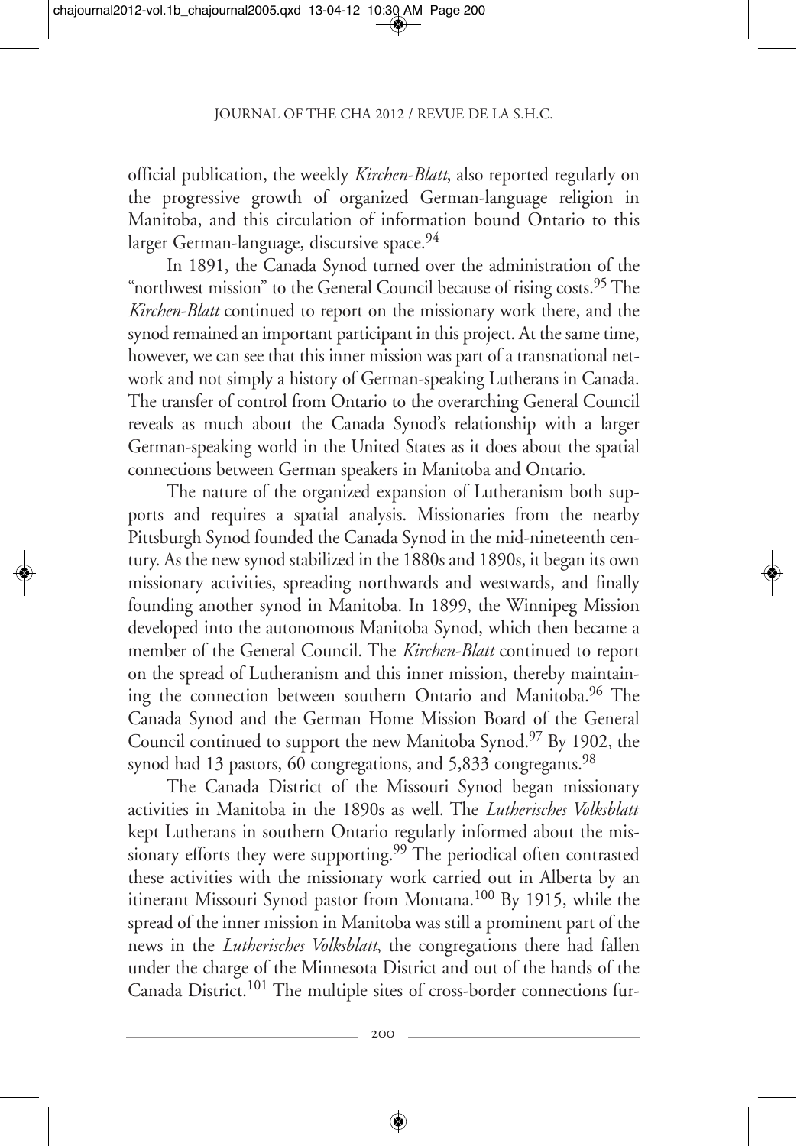official publication, the weekly *Kirchen-Blatt*, also reported regularly on the progressive growth of organized German-language religion in Manitoba, and this circulation of information bound Ontario to this larger German-language, discursive space.<sup>94</sup>

In 1891, the Canada Synod turned over the administration of the "northwest mission" to the General Council because of rising costs.<sup>95</sup> The *Kirchen-Blatt* continued to report on the missionary work there, and the synod remained an important participant in this project. At the same time, however, we can see that this inner mission was part of a transnational network and not simply a history of German-speaking Lutherans in Canada. The transfer of control from Ontario to the overarching General Council reveals as much about the Canada Synod's relationship with a larger German-speaking world in the United States as it does about the spatial connections between German speakers in Manitoba and Ontario.

The nature of the organized expansion of Lutheranism both supports and requires a spatial analysis. Missionaries from the nearby Pittsburgh Synod founded the Canada Synod in the mid-nineteenth century. As the new synod stabilized in the 1880s and 1890s, it began its own missionary activities, spreading northwards and westwards, and finally founding another synod in Manitoba. In 1899, the Winnipeg Mission developed into the autonomous Manitoba Synod, which then became a member of the General Council. The *Kirchen-Blatt* continued to report on the spread of Lutheranism and this inner mission, thereby maintaining the connection between southern Ontario and Manitoba.<sup>96</sup> The Canada Synod and the German Home Mission Board of the General Council continued to support the new Manitoba Synod.<sup>97</sup> By 1902, the synod had 13 pastors, 60 congregations, and 5,833 congregants.<sup>98</sup>

The Canada District of the Missouri Synod began missionary activities in Manitoba in the 1890s as well. The *Lutherisches Volksblatt* kept Lutherans in southern Ontario regularly informed about the missionary efforts they were supporting.<sup>99</sup> The periodical often contrasted these activities with the missionary work carried out in Alberta by an itinerant Missouri Synod pastor from Montana.100 By 1915, while the spread of the inner mission in Manitoba was still a prominent part of the news in the *Lutherisches Volksblatt*, the congregations there had fallen under the charge of the Minnesota District and out of the hands of the Canada District.<sup>101</sup> The multiple sites of cross-border connections fur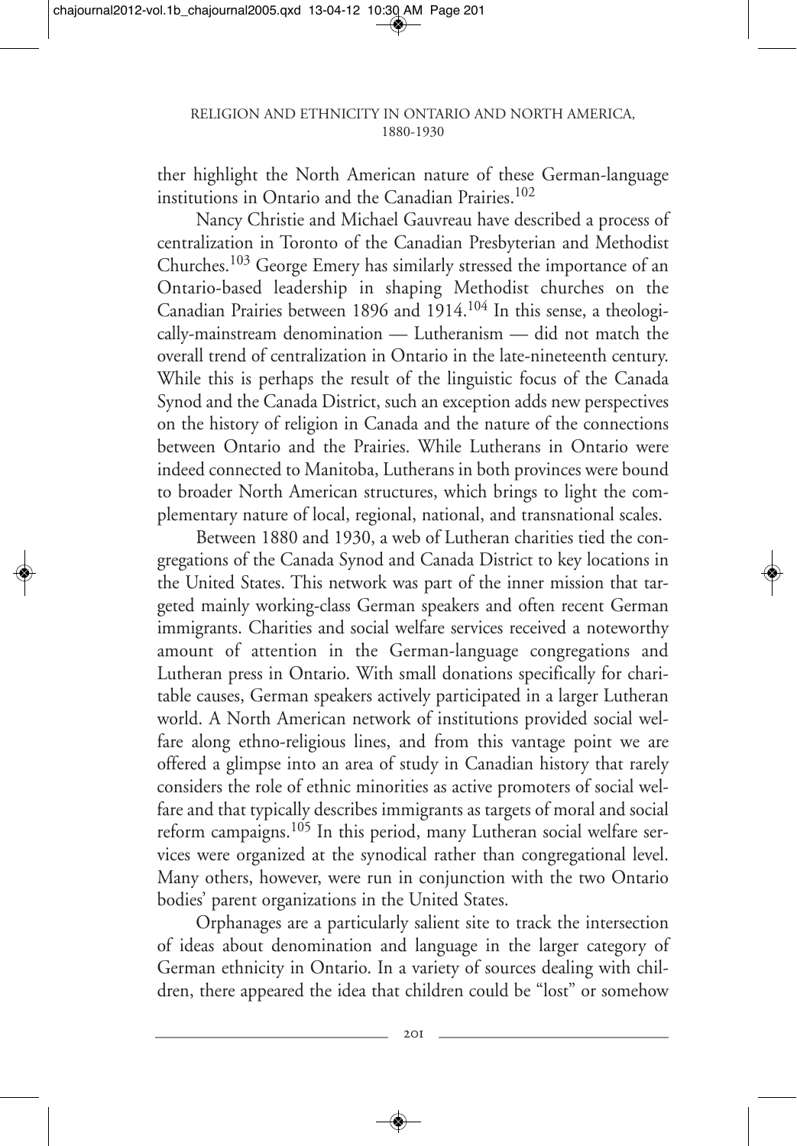ther highlight the North American nature of these German-language institutions in Ontario and the Canadian Prairies.<sup>102</sup>

Nancy Christie and Michael Gauvreau have described a process of centralization in Toronto of the Canadian Presbyterian and Methodist Churches.103 George Emery has similarly stressed the importance of an Ontario-based leadership in shaping Methodist churches on the Canadian Prairies between 1896 and 1914.104 In this sense, a theologically-mainstream denomination — Lutheranism — did not match the overall trend of centralization in Ontario in the late-nineteenth century. While this is perhaps the result of the linguistic focus of the Canada Synod and the Canada District, such an exception adds new perspectives on the history of religion in Canada and the nature of the connections between Ontario and the Prairies. While Lutherans in Ontario were indeed connected to Manitoba, Lutherans in both provinces were bound to broader North American structures, which brings to light the complementary nature of local, regional, national, and transnational scales.

Between 1880 and 1930, a web of Lutheran charities tied the congregations of the Canada Synod and Canada District to key locations in the United States. This network was part of the inner mission that targeted mainly working-class German speakers and often recent German immigrants. Charities and social welfare services received a noteworthy amount of attention in the German-language congregations and Lutheran press in Ontario. With small donations specifically for charitable causes, German speakers actively participated in a larger Lutheran world. A North American network of institutions provided social welfare along ethno-religious lines, and from this vantage point we are offered a glimpse into an area of study in Canadian history that rarely considers the role of ethnic minorities as active promoters of social welfare and that typically describes immigrants as targets of moral and social reform campaigns.<sup>105</sup> In this period, many Lutheran social welfare services were organized at the synodical rather than congregational level. Many others, however, were run in conjunction with the two Ontario bodies' parent organizations in the United States.

Orphanages are a particularly salient site to track the intersection of ideas about denomination and language in the larger category of German ethnicity in Ontario. In a variety of sources dealing with children, there appeared the idea that children could be "lost" or somehow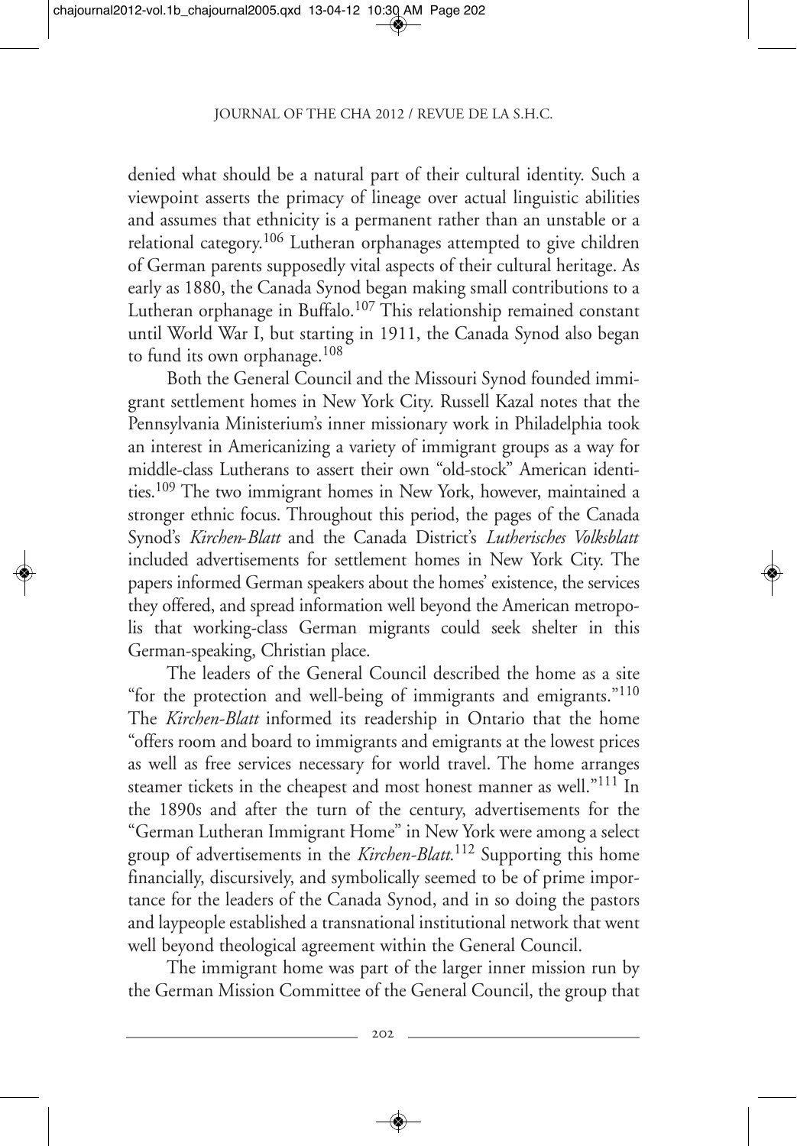denied what should be a natural part of their cultural identity. Such a viewpoint asserts the primacy of lineage over actual linguistic abilities and assumes that ethnicity is a permanent rather than an unstable or a relational category.<sup>106</sup> Lutheran orphanages attempted to give children of German parents supposedly vital aspects of their cultural heritage. As early as 1880, the Canada Synod began making small contributions to a Lutheran orphanage in Buffalo.<sup>107</sup> This relationship remained constant until World War I, but starting in 1911, the Canada Synod also began to fund its own orphanage.108

Both the General Council and the Missouri Synod founded immigrant settlement homes in New York City. Russell Kazal notes that the Pennsylvania Ministerium's inner missionary work in Philadelphia took an interest in Americanizing a variety of immigrant groups as a way for middle-class Lutherans to assert their own "old-stock" American identities.109 The two immigrant homes in New York, however, maintained a stronger ethnic focus. Throughout this period, the pages of the Canada Synod's *Kirchen*-*Blatt* and the Canada District's *Lutherisches Volksblatt* included advertisements for settlement homes in New York City. The papers informed German speakers about the homes' existence, the services they offered, and spread information well beyond the American metropolis that working-class German migrants could seek shelter in this German-speaking, Christian place.

The leaders of the General Council described the home as a site "for the protection and well-being of immigrants and emigrants."110 The *Kirchen-Blatt* informed its readership in Ontario that the home "offers room and board to immigrants and emigrants at the lowest prices as well as free services necessary for world travel. The home arranges steamer tickets in the cheapest and most honest manner as well."<sup>111</sup> In the 1890s and after the turn of the century, advertisements for the "German Lutheran Immigrant Home" in New York were among a select group of advertisements in the *Kirchen-Blatt*. <sup>112</sup> Supporting this home financially, discursively, and symbolically seemed to be of prime importance for the leaders of the Canada Synod, and in so doing the pastors and laypeople established a transnational institutional network that went well beyond theological agreement within the General Council.

The immigrant home was part of the larger inner mission run by the German Mission Committee of the General Council, the group that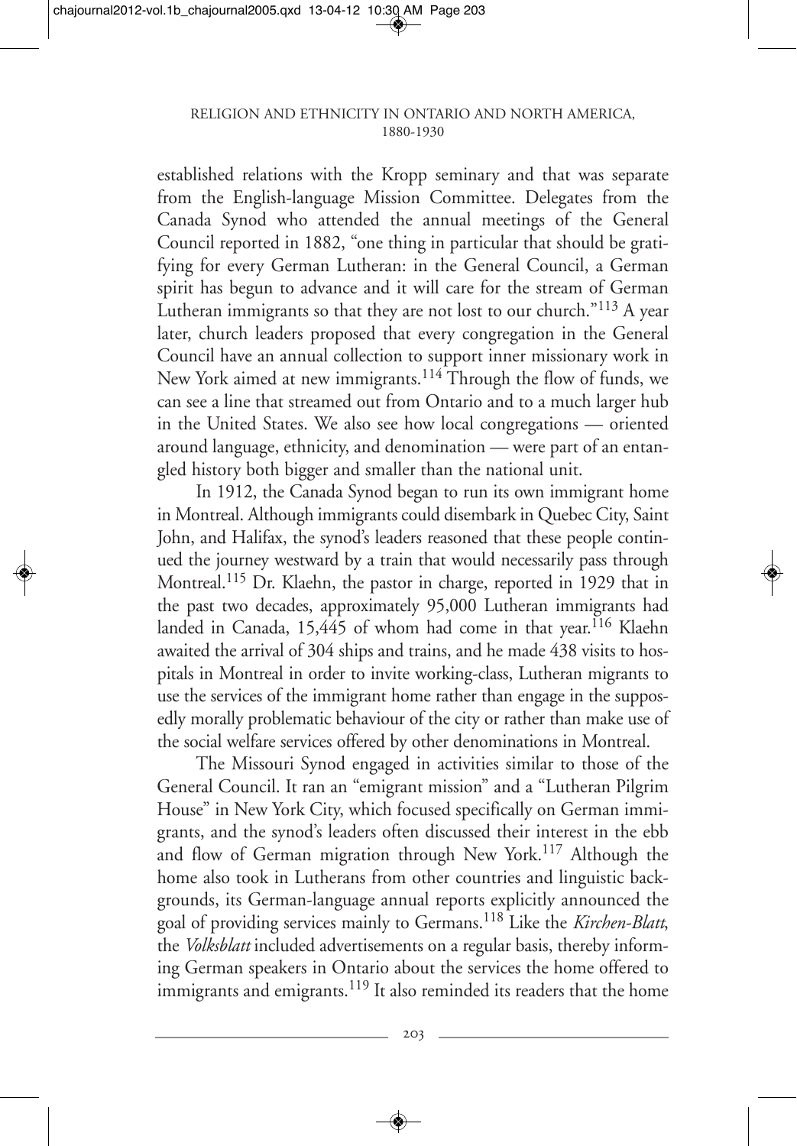established relations with the Kropp seminary and that was separate from the English-language Mission Committee. Delegates from the Canada Synod who attended the annual meetings of the General Council reported in 1882, "one thing in particular that should be gratifying for every German Lutheran: in the General Council, a German spirit has begun to advance and it will care for the stream of German Lutheran immigrants so that they are not lost to our church."<sup>113</sup> A year later, church leaders proposed that every congregation in the General Council have an annual collection to support inner missionary work in New York aimed at new immigrants.<sup>114</sup> Through the flow of funds, we can see a line that streamed out from Ontario and to a much larger hub in the United States. We also see how local congregations — oriented around language, ethnicity, and denomination — were part of an entangled history both bigger and smaller than the national unit.

In 1912, the Canada Synod began to run its own immigrant home in Montreal. Although immigrants could disembark in Quebec City, Saint John, and Halifax, the synod's leaders reasoned that these people continued the journey westward by a train that would necessarily pass through Montreal.<sup>115</sup> Dr. Klaehn, the pastor in charge, reported in 1929 that in the past two decades, approximately 95,000 Lutheran immigrants had landed in Canada, 15,445 of whom had come in that year.<sup>116</sup> Klaehn awaited the arrival of 304 ships and trains, and he made 438 visits to hospitals in Montreal in order to invite working-class, Lutheran migrants to use the services of the immigrant home rather than engage in the supposedly morally problematic behaviour of the city or rather than make use of the social welfare services offered by other denominations in Montreal.

The Missouri Synod engaged in activities similar to those of the General Council. It ran an "emigrant mission" and a "Lutheran Pilgrim House" in New York City, which focused specifically on German immigrants, and the synod's leaders often discussed their interest in the ebb and flow of German migration through New York.<sup>117</sup> Although the home also took in Lutherans from other countries and linguistic backgrounds, its German-language annual reports explicitly announced the goal of providing services mainly to Germans.118 Like the *Kirchen-Blatt*, the *Volksblatt* included advertisements on a regular basis, thereby informing German speakers in Ontario about the services the home offered to immigrants and emigrants.<sup>119</sup> It also reminded its readers that the home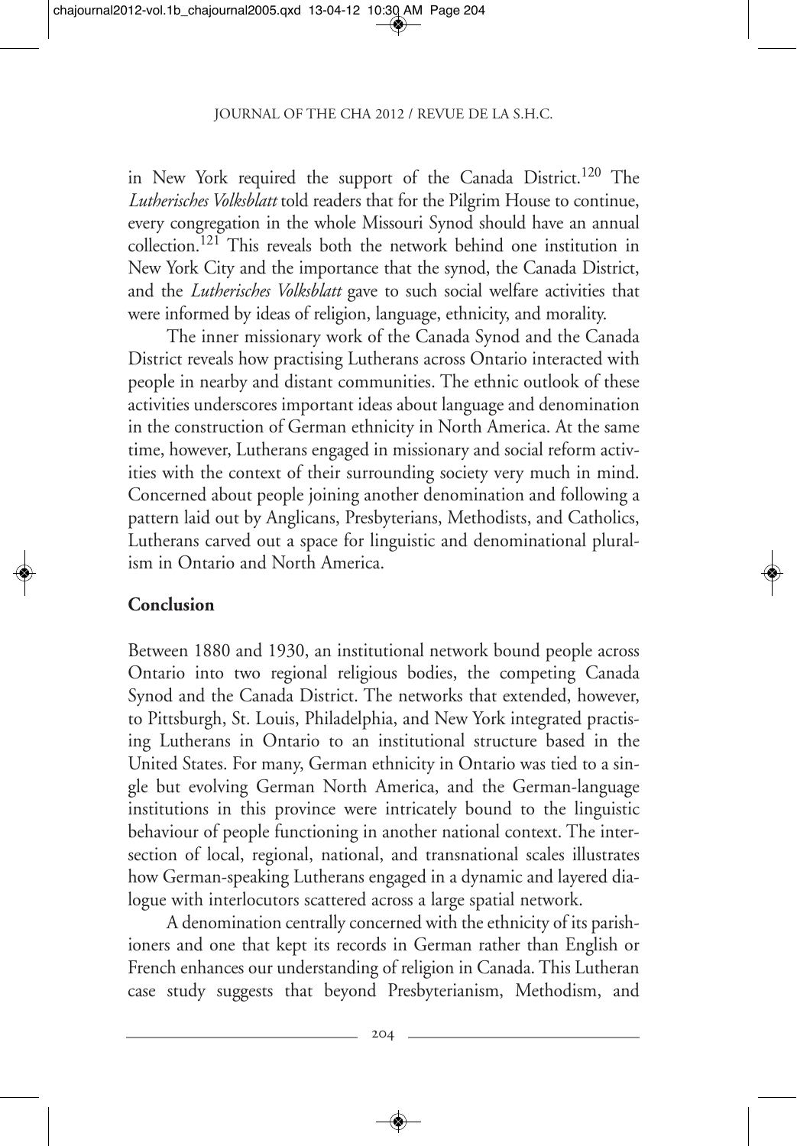in New York required the support of the Canada District.120 The *Lutherisches Volksblatt* told readers that for the Pilgrim House to continue, every congregation in the whole Missouri Synod should have an annual collection.121 This reveals both the network behind one institution in New York City and the importance that the synod, the Canada District, and the *Lutherisches Volksblatt* gave to such social welfare activities that were informed by ideas of religion, language, ethnicity, and morality.

The inner missionary work of the Canada Synod and the Canada District reveals how practising Lutherans across Ontario interacted with people in nearby and distant communities. The ethnic outlook of these activities underscores important ideas about language and denomination in the construction of German ethnicity in North America. At the same time, however, Lutherans engaged in missionary and social reform activities with the context of their surrounding society very much in mind. Concerned about people joining another denomination and following a pattern laid out by Anglicans, Presbyterians, Methodists, and Catholics, Lutherans carved out a space for linguistic and denominational pluralism in Ontario and North America.

### **Conclusion**

Between 1880 and 1930, an institutional network bound people across Ontario into two regional religious bodies, the competing Canada Synod and the Canada District. The networks that extended, however, to Pittsburgh, St. Louis, Philadelphia, and New York integrated practising Lutherans in Ontario to an institutional structure based in the United States. For many, German ethnicity in Ontario was tied to a single but evolving German North America, and the German-language institutions in this province were intricately bound to the linguistic behaviour of people functioning in another national context. The intersection of local, regional, national, and transnational scales illustrates how German-speaking Lutherans engaged in a dynamic and layered dialogue with interlocutors scattered across a large spatial network.

A denomination centrally concerned with the ethnicity of its parishioners and one that kept its records in German rather than English or French enhances our understanding of religion in Canada. This Lutheran case study suggests that beyond Presbyterianism, Methodism, and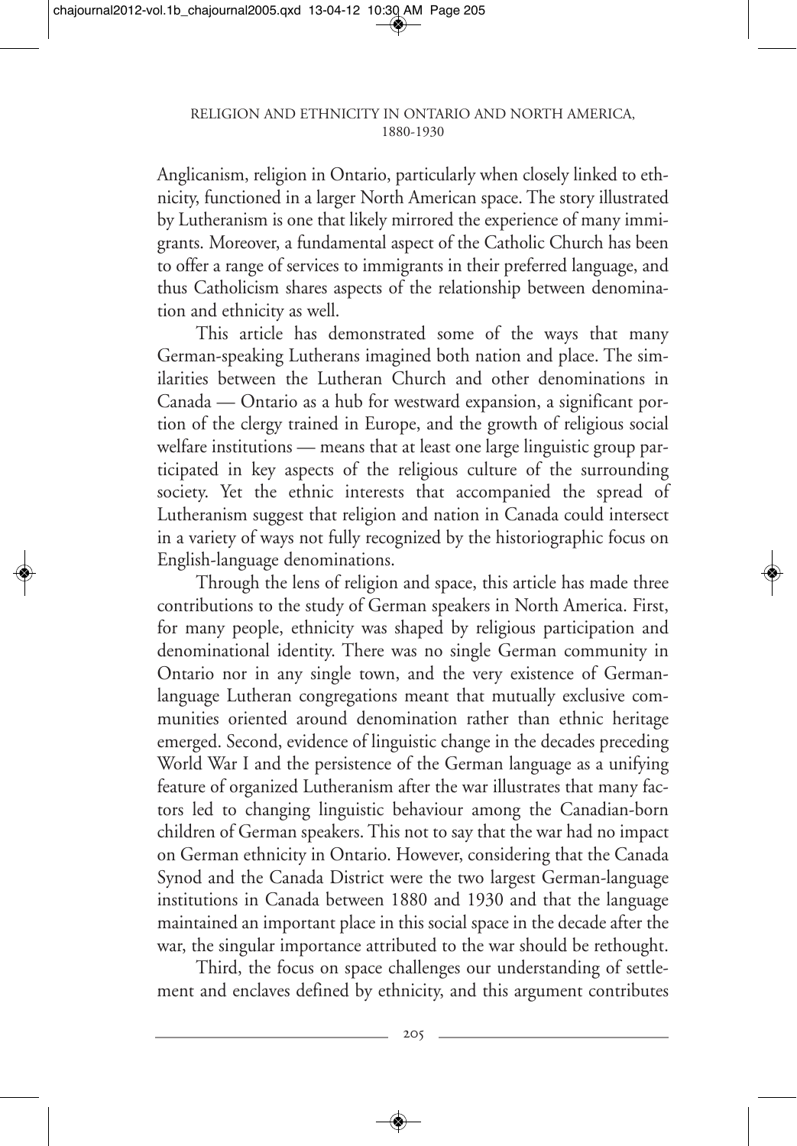Anglicanism, religion in Ontario, particularly when closely linked to ethnicity, functioned in a larger North American space. The story illustrated by Lutheranism is one that likely mirrored the experience of many immigrants. Moreover, a fundamental aspect of the Catholic Church has been to offer a range of services to immigrants in their preferred language, and thus Catholicism shares aspects of the relationship between denomination and ethnicity as well.

This article has demonstrated some of the ways that many German-speaking Lutherans imagined both nation and place. The similarities between the Lutheran Church and other denominations in Canada — Ontario as a hub for westward expansion, a significant portion of the clergy trained in Europe, and the growth of religious social welfare institutions — means that at least one large linguistic group participated in key aspects of the religious culture of the surrounding society. Yet the ethnic interests that accompanied the spread of Lutheranism suggest that religion and nation in Canada could intersect in a variety of ways not fully recognized by the historiographic focus on English-language denominations.

Through the lens of religion and space, this article has made three contributions to the study of German speakers in North America. First, for many people, ethnicity was shaped by religious participation and denominational identity. There was no single German community in Ontario nor in any single town, and the very existence of Germanlanguage Lutheran congregations meant that mutually exclusive communities oriented around denomination rather than ethnic heritage emerged. Second, evidence of linguistic change in the decades preceding World War I and the persistence of the German language as a unifying feature of organized Lutheranism after the war illustrates that many factors led to changing linguistic behaviour among the Canadian-born children of German speakers. This not to say that the war had no impact on German ethnicity in Ontario. However, considering that the Canada Synod and the Canada District were the two largest German-language institutions in Canada between 1880 and 1930 and that the language maintained an important place in this social space in the decade after the war, the singular importance attributed to the war should be rethought.

Third, the focus on space challenges our understanding of settlement and enclaves defined by ethnicity, and this argument contributes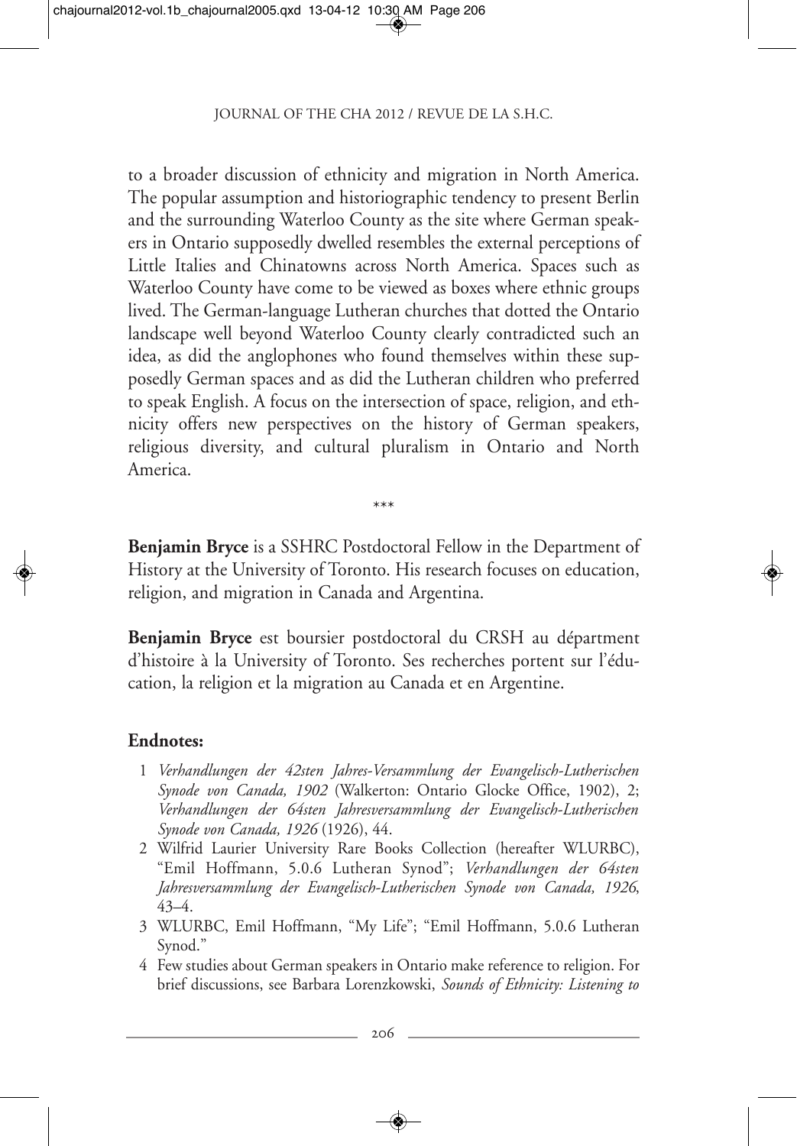to a broader discussion of ethnicity and migration in North America. The popular assumption and historiographic tendency to present Berlin and the surrounding Waterloo County as the site where German speakers in Ontario supposedly dwelled resembles the external perceptions of Little Italies and Chinatowns across North America. Spaces such as Waterloo County have come to be viewed as boxes where ethnic groups lived. The German-language Lutheran churches that dotted the Ontario landscape well beyond Waterloo County clearly contradicted such an idea, as did the anglophones who found themselves within these supposedly German spaces and as did the Lutheran children who preferred to speak English. A focus on the intersection of space, religion, and ethnicity offers new perspectives on the history of German speakers, religious diversity, and cultural pluralism in Ontario and North America.

\*\*\*

**Benjamin Bryce** is a SSHRC Postdoctoral Fellow in the Department of History at the University of Toronto. His research focuses on education, religion, and migration in Canada and Argentina.

**Benjamin Bryce** est boursier postdoctoral du CRSH au départment d'histoire à la University of Toronto. Ses recherches portent sur l'éducation, la religion et la migration au Canada et en Argentine.

### **Endnotes:**

- 1 *Verhandlungen der 42sten Jahres-Versammlung der Evangelisch-Lutherischen Synode von Canada, 1902* (Walkerton: Ontario Glocke Office, 1902), 2; *Verhandlungen der 64sten Jahresversammlung der Evangelisch-Lutherischen Synode von Canada, 1926* (1926), 44.
- 2 Wilfrid Laurier University Rare Books Collection (hereafter WLURBC), "Emil Hoffmann, 5.0.6 Lutheran Synod"; *Verhandlungen der 64sten Jahresversammlung der Evangelisch-Lutherischen Synode von Canada, 1926*, 43–4.
- 3 WLURBC, Emil Hoffmann, "My Life"; "Emil Hoffmann, 5.0.6 Lutheran Synod."
- 4 Few studies about German speakers in Ontario make reference to religion. For brief discussions, see Barbara Lorenzkowski, *Sounds of Ethnicity: Listening to*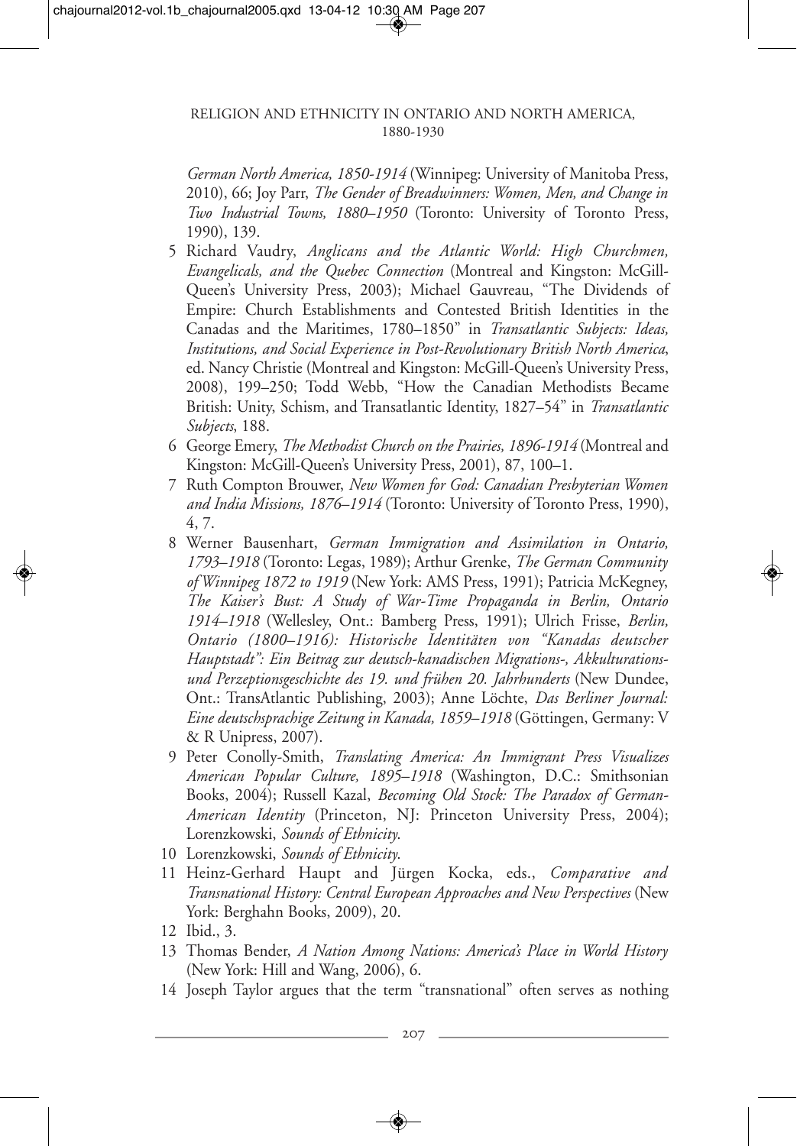*German North America, 1850-1914* (Winnipeg: University of Manitoba Press, 2010), 66; Joy Parr, *The Gender of Breadwinners: Women, Men, and Change in Two Industrial Towns, 1880–1950* (Toronto: University of Toronto Press, 1990), 139.

- 5 Richard Vaudry, *Anglicans and the Atlantic World: High Churchmen, Evangelicals, and the Quebec Connection* (Montreal and Kingston: McGill-Queen's University Press, 2003); Michael Gauvreau, "The Dividends of Empire: Church Establishments and Contested British Identities in the Canadas and the Maritimes, 1780–1850" in *Transatlantic Subjects: Ideas, Institutions, and Social Experience in Post-Revolutionary British North America*, ed. Nancy Christie (Montreal and Kingston: McGill-Queen's University Press, 2008), 199–250; Todd Webb, "How the Canadian Methodists Became British: Unity, Schism, and Transatlantic Identity, 1827–54" in *Transatlantic Subjects*, 188.
- 6 George Emery, *The Methodist Church on the Prairies, 1896-1914* (Montreal and Kingston: McGill-Queen's University Press, 2001), 87, 100–1.
- 7 Ruth Compton Brouwer, *New Women for God: Canadian Presbyterian Women and India Missions, 1876–1914* (Toronto: University of Toronto Press, 1990), 4, 7.
- 8 Werner Bausenhart, *German Immigration and Assimilation in Ontario, 1793–1918* (Toronto: Legas, 1989); Arthur Grenke, *The German Community of Winnipeg 1872 to 1919* (New York: AMS Press, 1991); Patricia McKegney, *The Kaiser's Bust: A Study of War-Time Propaganda in Berlin, Ontario 1914–1918* (Wellesley, Ont.: Bamberg Press, 1991); Ulrich Frisse, *Berlin, Ontario (1800–1916): Historische Identitäten von "Kanadas deutscher Hauptstadt": Ein Beitrag zur deutsch-kanadischen Migrations-, Akkulturationsund Perzeptionsgeschichte des 19. und frühen 20. Jahrhunderts* (New Dundee, Ont.: TransAtlantic Publishing, 2003); Anne Löchte, *Das Berliner Journal: Eine deutschsprachige Zeitung in Kanada, 1859–1918* (Göttingen, Germany: V & R Unipress, 2007).
- 9 Peter Conolly-Smith, *Translating America: An Immigrant Press Visualizes American Popular Culture, 1895–1918* (Washington, D.C.: Smithsonian Books, 2004); Russell Kazal, *Becoming Old Stock: The Paradox of German-American Identity* (Princeton, NJ: Princeton University Press, 2004); Lorenzkowski, *Sounds of Ethnicity*.
- 10 Lorenzkowski, *Sounds of Ethnicity*.
- 11 Heinz-Gerhard Haupt and Jürgen Kocka, eds., *Comparative and Transnational History: Central European Approaches and New Perspectives* (New York: Berghahn Books, 2009), 20.
- 12 Ibid., 3.
- 13 Thomas Bender, *A Nation Among Nations: America's Place in World History* (New York: Hill and Wang, 2006), 6.
- 14 Joseph Taylor argues that the term "transnational" often serves as nothing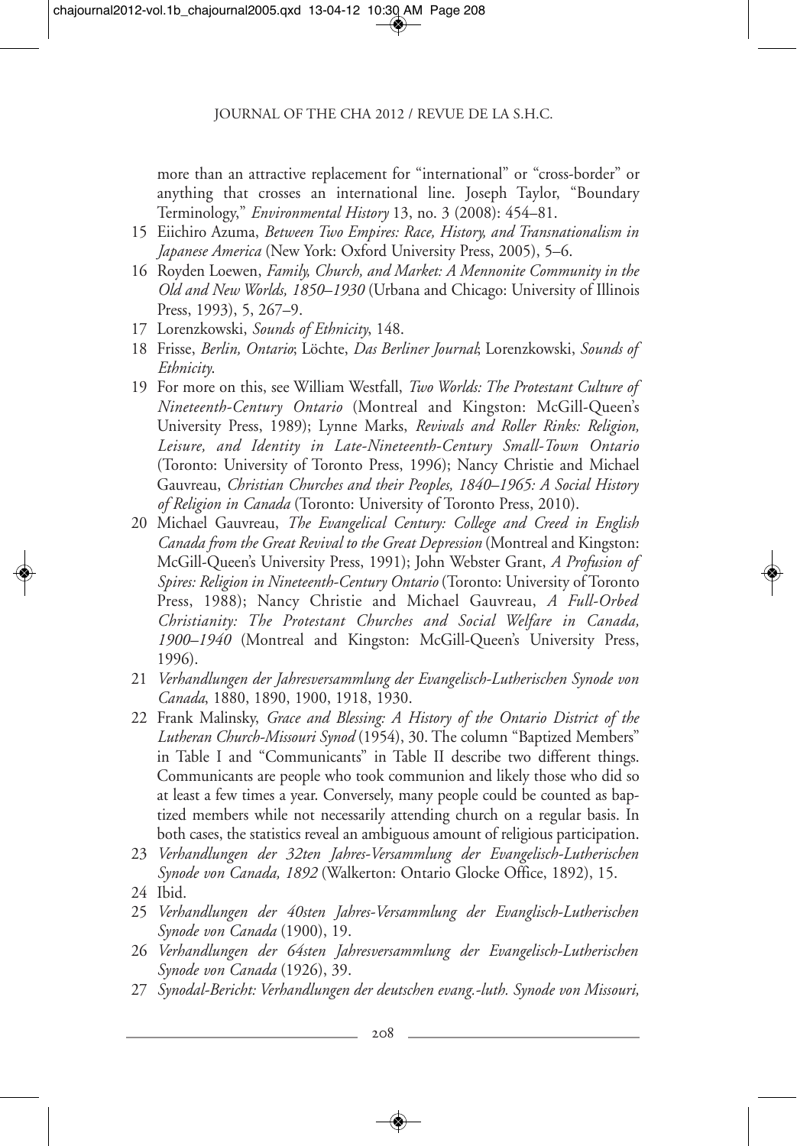more than an attractive replacement for "international" or "cross-border" or anything that crosses an international line. Joseph Taylor, "Boundary Terminology," *Environmental History* 13, no. 3 (2008): 454–81.

- 15 Eiichiro Azuma, *Between Two Empires: Race, History, and Transnationalism in Japanese America* (New York: Oxford University Press, 2005), 5–6.
- 16 Royden Loewen, *Family, Church, and Market: A Mennonite Community in the Old and New Worlds, 1850–1930* (Urbana and Chicago: University of Illinois Press, 1993), 5, 267–9.
- 17 Lorenzkowski, *Sounds of Ethnicity*, 148.
- 18 Frisse, *Berlin, Ontario*; Löchte, *Das Berliner Journal*; Lorenzkowski, *Sounds of Ethnicity*.
- 19 For more on this, see William Westfall, *Two Worlds: The Protestant Culture of Nineteenth-Century Ontario* (Montreal and Kingston: McGill-Queen's University Press, 1989); Lynne Marks, *Revivals and Roller Rinks: Religion, Leisure, and Identity in Late-Nineteenth-Century Small-Town Ontario* (Toronto: University of Toronto Press, 1996); Nancy Christie and Michael Gauvreau, *Christian Churches and their Peoples, 1840–1965: A Social History of Religion in Canada* (Toronto: University of Toronto Press, 2010).
- 20 Michael Gauvreau, *The Evangelical Century: College and Creed in English Canada from the Great Revival to the Great Depression* (Montreal and Kingston: McGill-Queen's University Press, 1991); John Webster Grant, *A Profusion of Spires: Religion in Nineteenth-Century Ontario* (Toronto: University of Toronto Press, 1988); Nancy Christie and Michael Gauvreau, *A Full-Orbed Christianity: The Protestant Churches and Social Welfare in Canada, 1900–1940* (Montreal and Kingston: McGill-Queen's University Press, 1996).
- 21 *Verhandlungen der Jahresversammlung der Evangelisch-Lutherischen Synode von Canada*, 1880, 1890, 1900, 1918, 1930.
- 22 Frank Malinsky, *Grace and Blessing: A History of the Ontario District of the Lutheran Church-Missouri Synod* (1954), 30. The column "Baptized Members" in Table I and "Communicants" in Table II describe two different things. Communicants are people who took communion and likely those who did so at least a few times a year. Conversely, many people could be counted as baptized members while not necessarily attending church on a regular basis. In both cases, the statistics reveal an ambiguous amount of religious participation.
- 23 *Verhandlungen der 32ten Jahres-Versammlung der Evangelisch-Lutherischen Synode von Canada, 1892* (Walkerton: Ontario Glocke Office, 1892), 15.
- 24 Ibid.
- 25 *Verhandlungen der 40sten Jahres-Versammlung der Evanglisch-Lutherischen Synode von Canada* (1900), 19.
- 26 *Verhandlungen der 64sten Jahresversammlung der Evangelisch-Lutherischen Synode von Canada* (1926), 39.
- 27 *Synodal-Bericht: Verhandlungen der deutschen evang.-luth. Synode von Missouri,*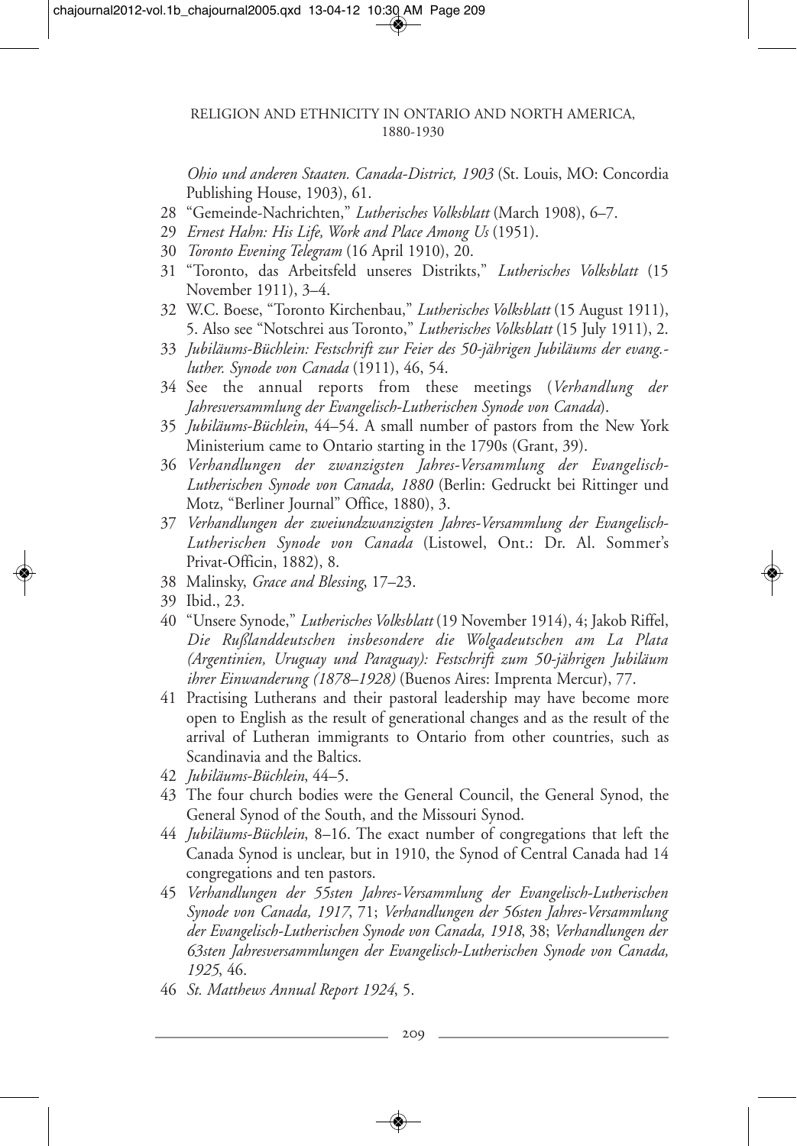#### RELIGION AND ETHNICITY IN ONTARIO AND NORTH AMERICA, 1880-1930

*Ohio und anderen Staaten. Canada-District, 1903* (St. Louis, MO: Concordia Publishing House, 1903), 61.

- 28 "Gemeinde-Nachrichten," *Lutherisches Volksblatt* (March 1908), 6–7.
- 29 *Ernest Hahn: His Life, Work and Place Among Us* (1951).
- 30 *Toronto Evening Telegram* (16 April 1910), 20.
- 31 "Toronto, das Arbeitsfeld unseres Distrikts," *Lutherisches Volksblatt* (15 November 1911), 3–4.
- 32 W.C. Boese, "Toronto Kirchenbau," *Lutherisches Volksblatt* (15 August 1911), 5. Also see "Notschrei aus Toronto," *Lutherisches Volksblatt* (15 July 1911), 2.
- 33 *Jubiläums-Büchlein: Festschrift zur Feier des 50-jährigen Jubiläums der evang. luther. Synode von Canada* (1911), 46, 54.
- 34 See the annual reports from these meetings (*Verhandlung der Jahresversammlung der Evangelisch-Lutherischen Synode von Canada*).
- 35 *Jubiläums-Büchlein*, 44–54. A small number of pastors from the New York Ministerium came to Ontario starting in the 1790s (Grant, 39).
- 36 *Verhandlungen der zwanzigsten Jahres-Versammlung der Evangelisch-Lutherischen Synode von Canada, 1880* (Berlin: Gedruckt bei Rittinger und Motz, "Berliner Journal" Office, 1880), 3.
- 37 *Verhandlungen der zweiundzwanzigsten Jahres-Versammlung der Evangelisch-Lutherischen Synode von Canada* (Listowel, Ont.: Dr. Al. Sommer's Privat-Officin, 1882), 8.
- 38 Malinsky, *Grace and Blessing*, 17–23.
- 39 Ibid., 23.
- 40 "Unsere Synode," *Lutherisches Volksblatt* (19 November 1914), 4; Jakob Riffel, *Die Rußlanddeutschen insbesondere die Wolgadeutschen am La Plata (Argentinien, Uruguay und Paraguay): Festschrift zum 50-jährigen Jubiläum ihrer Einwanderung (1878–1928)* (Buenos Aires: Imprenta Mercur), 77.
- 41 Practising Lutherans and their pastoral leadership may have become more open to English as the result of generational changes and as the result of the arrival of Lutheran immigrants to Ontario from other countries, such as Scandinavia and the Baltics.
- 42 *Jubiläums-Büchlein*, 44–5.
- 43 The four church bodies were the General Council, the General Synod, the General Synod of the South, and the Missouri Synod.
- 44 *Jubiläums-Büchlein*, 8–16. The exact number of congregations that left the Canada Synod is unclear, but in 1910, the Synod of Central Canada had 14 congregations and ten pastors.
- 45 *Verhandlungen der 55sten Jahres-Versammlung der Evangelisch-Lutherischen Synode von Canada, 1917*, 71; *Verhandlungen der 56sten Jahres-Versammlung der Evangelisch-Lutherischen Synode von Canada, 1918*, 38; *Verhandlungen der 63sten Jahresversammlungen der Evangelisch-Lutherischen Synode von Canada, 1925*, 46.
- 46 *St. Matthews Annual Report 1924*, 5.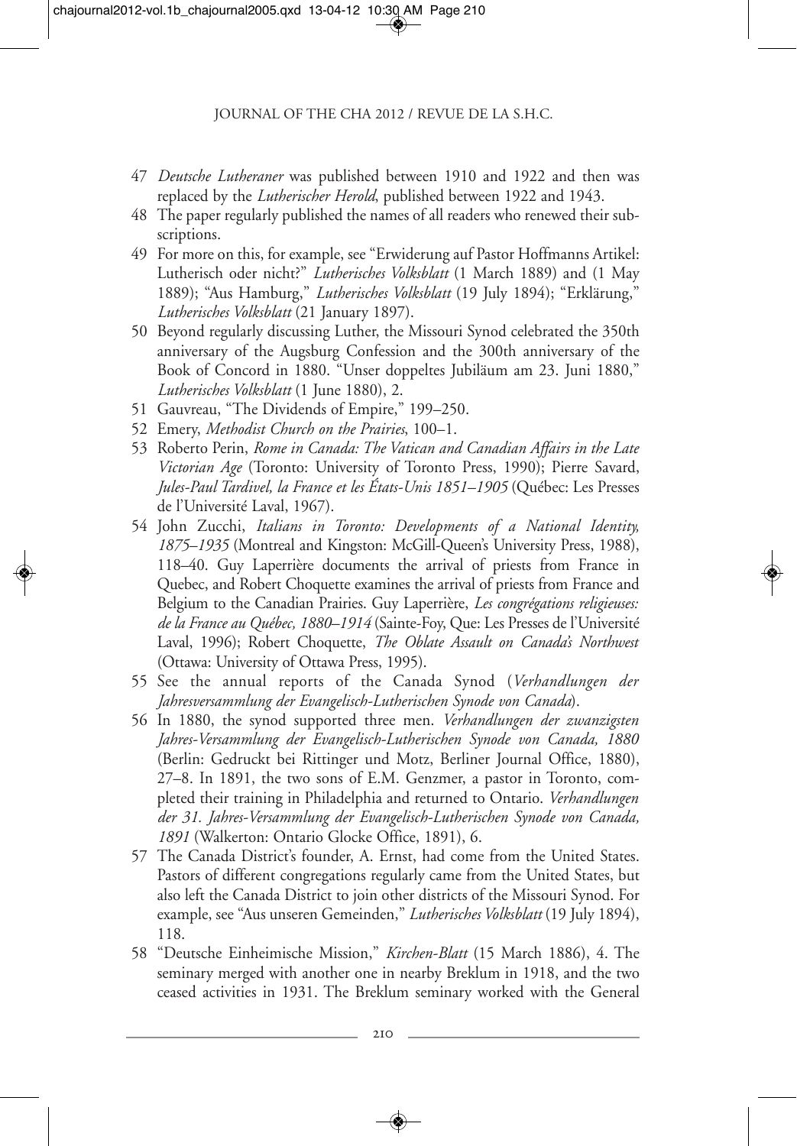- 47 *Deutsche Lutheraner* was published between 1910 and 1922 and then was replaced by the *Lutherischer Herold*, published between 1922 and 1943.
- 48 The paper regularly published the names of all readers who renewed their subscriptions.
- 49 For more on this, for example, see "Erwiderung auf Pastor Hoffmanns Artikel: Lutherisch oder nicht?" *Lutherisches Volksblatt* (1 March 1889) and (1 May 1889); "Aus Hamburg," *Lutherisches Volksblatt* (19 July 1894); "Erklärung," *Lutherisches Volksblatt* (21 January 1897).
- 50 Beyond regularly discussing Luther, the Missouri Synod celebrated the 350th anniversary of the Augsburg Confession and the 300th anniversary of the Book of Concord in 1880. "Unser doppeltes Jubiläum am 23. Juni 1880," *Lutherisches Volksblatt* (1 June 1880), 2.
- 51 Gauvreau, "The Dividends of Empire," 199–250.
- 52 Emery, *Methodist Church on the Prairies*, 100–1.
- 53 Roberto Perin, *Rome in Canada: The Vatican and Canadian Affairs in the Late Victorian Age* (Toronto: University of Toronto Press, 1990); Pierre Savard, *Jules-Paul Tardivel, la France et les États-Unis 1851–1905* (Québec: Les Presses de l'Université Laval, 1967).
- 54 John Zucchi, *Italians in Toronto: Developments of a National Identity, 1875–1935* (Montreal and Kingston: McGill-Queen's University Press, 1988), 118–40. Guy Laperrière documents the arrival of priests from France in Quebec, and Robert Choquette examines the arrival of priests from France and Belgium to the Canadian Prairies. Guy Laperrière, *Les congrégations religieuses: de la France au Québec, 1880–1914* (Sainte-Foy, Que: Les Presses de l'Université Laval, 1996); Robert Choquette, *The Oblate Assault on Canada's Northwest* (Ottawa: University of Ottawa Press, 1995).
- 55 See the annual reports of the Canada Synod (*Verhandlungen der Jahresversammlung der Evangelisch-Lutherischen Synode von Canada*).
- 56 In 1880, the synod supported three men. *Verhandlungen der zwanzigsten Jahres-Versammlung der Evangelisch-Lutherischen Synode von Canada, 1880* (Berlin: Gedruckt bei Rittinger und Motz, Berliner Journal Office, 1880), 27–8. In 1891, the two sons of E.M. Genzmer, a pastor in Toronto, completed their training in Philadelphia and returned to Ontario. *Verhandlungen der 31. Jahres-Versammlung der Evangelisch-Lutherischen Synode von Canada, 1891* (Walkerton: Ontario Glocke Office, 1891), 6.
- 57 The Canada District's founder, A. Ernst, had come from the United States. Pastors of different congregations regularly came from the United States, but also left the Canada District to join other districts of the Missouri Synod. For example, see "Aus unseren Gemeinden," *Lutherisches Volksblatt* (19 July 1894), 118.
- 58 "Deutsche Einheimische Mission," *Kirchen-Blatt* (15 March 1886), 4. The seminary merged with another one in nearby Breklum in 1918, and the two ceased activities in 1931. The Breklum seminary worked with the General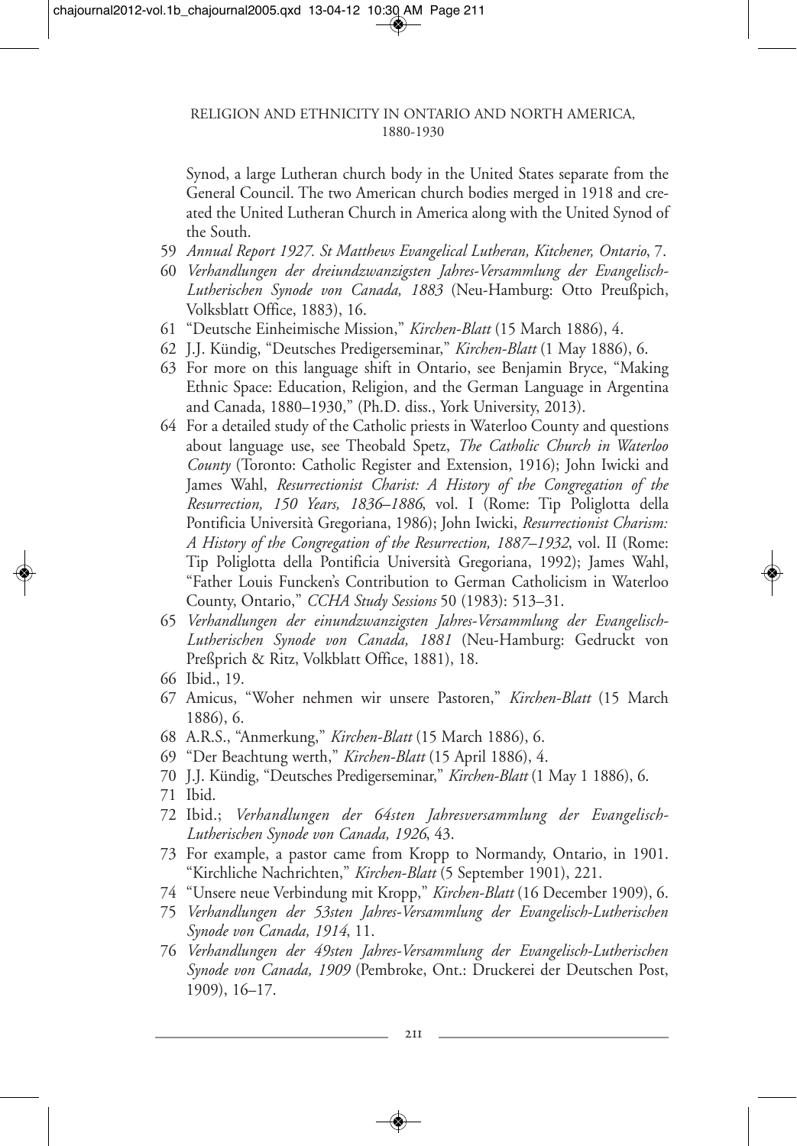Synod, a large Lutheran church body in the United States separate from the General Council. The two American church bodies merged in 1918 and created the United Lutheran Church in America along with the United Synod of the South.

- 59 *Annual Report 1927. St Matthews Evangelical Lutheran, Kitchener, Ontario*, 7.
- 60 *Verhandlungen der dreiundzwanzigsten Jahres-Versammlung der Evangelisch-Lutherischen Synode von Canada, 1883* (Neu-Hamburg: Otto Preußpich, Volksblatt Office, 1883), 16.
- 61 "Deutsche Einheimische Mission," *Kirchen-Blatt* (15 March 1886), 4.
- 62 J.J. Kündig, "Deutsches Predigerseminar," *Kirchen-Blatt* (1 May 1886), 6.
- 63 For more on this language shift in Ontario, see Benjamin Bryce, "Making Ethnic Space: Education, Religion, and the German Language in Argentina and Canada, 1880–1930," (Ph.D. diss., York University, 2013).
- 64 For a detailed study of the Catholic priests in Waterloo County and questions about language use, see Theobald Spetz, *The Catholic Church in Waterloo County* (Toronto: Catholic Register and Extension, 1916); John Iwicki and James Wahl, *Resurrectionist Charist: A History of the Congregation of the Resurrection, 150 Years, 1836–1886*, vol. I (Rome: Tip Poliglotta della Pontificia Università Gregoriana, 1986); John Iwicki, *Resurrectionist Charism: A History of the Congregation of the Resurrection, 1887–1932*, vol. II (Rome: Tip Poliglotta della Pontificia Università Gregoriana, 1992); James Wahl, "Father Louis Funcken's Contribution to German Catholicism in Waterloo County, Ontario," *CCHA Study Sessions* 50 (1983): 513–31.
- 65 *Verhandlungen der einundzwanzigsten Jahres-Versammlung der Evangelisch-Lutherischen Synode von Canada, 1881* (Neu-Hamburg: Gedruckt von Preßprich & Ritz, Volkblatt Office, 1881), 18.
- 66 Ibid., 19.
- 67 Amicus, "Woher nehmen wir unsere Pastoren," *Kirchen-Blatt* (15 March 1886), 6.
- 68 A.R.S., "Anmerkung," *Kirchen-Blatt* (15 March 1886), 6.
- 69 "Der Beachtung werth," *Kirchen-Blatt* (15 April 1886), 4.
- 70 J.J. Kündig, "Deutsches Predigerseminar," *Kirchen-Blatt* (1 May 1 1886), 6.
- 71 Ibid.
- 72 Ibid.; *Verhandlungen der 64sten Jahresversammlung der Evangelisch-Lutherischen Synode von Canada, 1926*, 43.
- 73 For example, a pastor came from Kropp to Normandy, Ontario, in 1901. "Kirchliche Nachrichten," *Kirchen-Blatt* (5 September 1901), 221.
- 74 "Unsere neue Verbindung mit Kropp," *Kirchen-Blatt* (16 December 1909), 6.
- 75 *Verhandlungen der 53sten Jahres-Versammlung der Evangelisch-Lutherischen Synode von Canada, 1914*, 11.
- 76 *Verhandlungen der 49sten Jahres-Versammlung der Evangelisch-Lutherischen Synode von Canada, 1909* (Pembroke, Ont.: Druckerei der Deutschen Post, 1909), 16–17.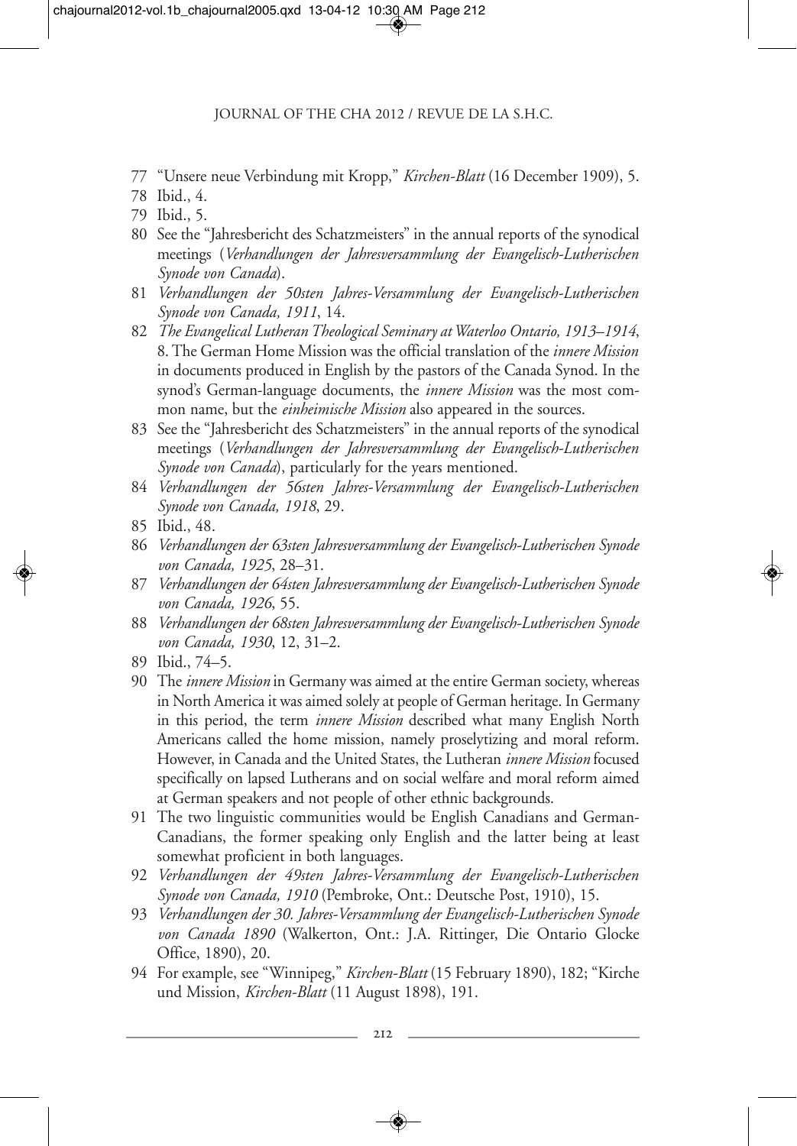- 77 "Unsere neue Verbindung mit Kropp," *Kirchen-Blatt* (16 December 1909), 5.
- 78 Ibid., 4.
- 79 Ibid., 5.
- 80 See the "Jahresbericht des Schatzmeisters" in the annual reports of the synodical meetings (*Verhandlungen der Jahresversammlung der Evangelisch-Lutherischen Synode von Canada*).
- 81 *Verhandlungen der 50sten Jahres-Versammlung der Evangelisch-Lutherischen Synode von Canada, 1911*, 14.
- 82 *The Evangelical Lutheran Theological Seminary at Waterloo Ontario, 1913–1914*, 8. The German Home Mission was the official translation of the *innere Mission* in documents produced in English by the pastors of the Canada Synod. In the synod's German-language documents, the *innere Mission* was the most common name, but the *einheimische Mission* also appeared in the sources.
- 83 See the "Jahresbericht des Schatzmeisters" in the annual reports of the synodical meetings (*Verhandlungen der Jahresversammlung der Evangelisch-Lutherischen Synode von Canada*), particularly for the years mentioned.
- 84 *Verhandlungen der 56sten Jahres-Versammlung der Evangelisch-Lutherischen Synode von Canada, 1918*, 29.
- 85 Ibid., 48.
- 86 *Verhandlungen der 63sten Jahresversammlung der Evangelisch-Lutherischen Synode von Canada, 1925*, 28–31.
- 87 *Verhandlungen der 64sten Jahresversammlung der Evangelisch-Lutherischen Synode von Canada, 1926*, 55.
- 88 *Verhandlungen der 68sten Jahresversammlung der Evangelisch-Lutherischen Synode von Canada, 1930*, 12, 31–2.
- 89 Ibid., 74–5.
- 90 The *innere Mission* in Germany was aimed at the entire German society, whereas in North America it was aimed solely at people of German heritage. In Germany in this period, the term *innere Mission* described what many English North Americans called the home mission, namely proselytizing and moral reform. However, in Canada and the United States, the Lutheran *innere Mission* focused specifically on lapsed Lutherans and on social welfare and moral reform aimed at German speakers and not people of other ethnic backgrounds.
- 91 The two linguistic communities would be English Canadians and German-Canadians, the former speaking only English and the latter being at least somewhat proficient in both languages.
- 92 *Verhandlungen der 49sten Jahres-Versammlung der Evangelisch-Lutherischen Synode von Canada, 1910* (Pembroke, Ont.: Deutsche Post, 1910), 15.
- 93 *Verhandlungen der 30. Jahres-Versammlung der Evangelisch-Lutherischen Synode von Canada 1890* (Walkerton, Ont.: J.A. Rittinger, Die Ontario Glocke Office, 1890), 20.
- 94 For example, see "Winnipeg," *Kirchen-Blatt* (15 February 1890), 182; "Kirche und Mission, *Kirchen-Blatt* (11 August 1898), 191.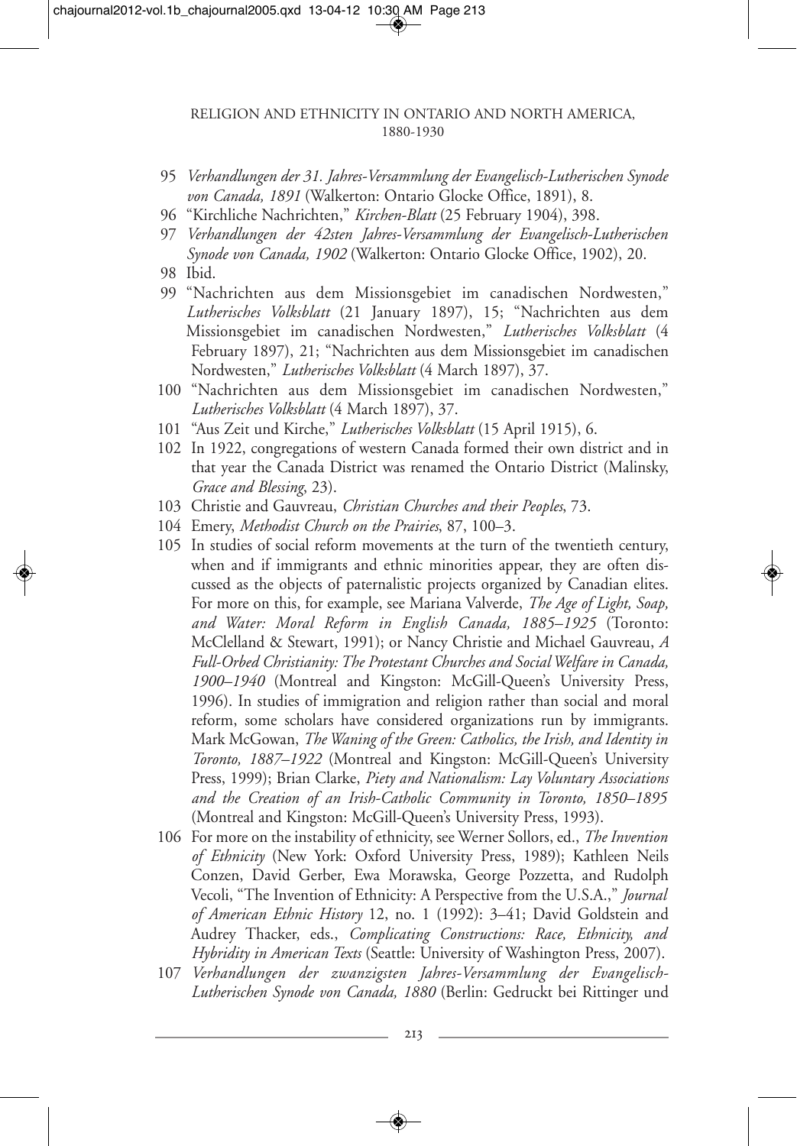#### RELIGION AND ETHNICITY IN ONTARIO AND NORTH AMERICA, 1880-1930

- 95 *Verhandlungen der 31. Jahres-Versammlung der Evangelisch-Lutherischen Synode von Canada, 1891* (Walkerton: Ontario Glocke Office, 1891), 8.
- 96 "Kirchliche Nachrichten," *Kirchen-Blatt* (25 February 1904), 398.
- 97 *Verhandlungen der 42sten Jahres-Versammlung der Evangelisch-Lutherischen Synode von Canada, 1902* (Walkerton: Ontario Glocke Office, 1902), 20.
- 98 Ibid.
- 99 "Nachrichten aus dem Missionsgebiet im canadischen Nordwesten," *Lutherisches Volksblatt* (21 January 1897), 15; "Nachrichten aus dem Missionsgebiet im canadischen Nordwesten," *Lutherisches Volksblatt* (4 February 1897), 21; "Nachrichten aus dem Missionsgebiet im canadischen Nordwesten," *Lutherisches Volksblatt* (4 March 1897), 37.
- 100 "Nachrichten aus dem Missionsgebiet im canadischen Nordwesten," *Lutherisches Volksblatt* (4 March 1897), 37.
- 101 "Aus Zeit und Kirche," *Lutherisches Volksblatt* (15 April 1915), 6.
- 102 In 1922, congregations of western Canada formed their own district and in that year the Canada District was renamed the Ontario District (Malinsky, *Grace and Blessing*, 23).
- 103 Christie and Gauvreau, *Christian Churches and their Peoples*, 73.
- 104 Emery, *Methodist Church on the Prairies*, 87, 100–3.
- 105 In studies of social reform movements at the turn of the twentieth century, when and if immigrants and ethnic minorities appear, they are often discussed as the objects of paternalistic projects organized by Canadian elites. For more on this, for example, see Mariana Valverde, *The Age of Light, Soap, and Water: Moral Reform in English Canada, 1885–1925* (Toronto: McClelland & Stewart, 1991); or Nancy Christie and Michael Gauvreau, *A Full-Orbed Christianity: The Protestant Churches and Social Welfare in Canada, 1900–1940* (Montreal and Kingston: McGill-Queen's University Press, 1996). In studies of immigration and religion rather than social and moral reform, some scholars have considered organizations run by immigrants. Mark McGowan, *The Waning of the Green: Catholics, the Irish, and Identity in Toronto, 1887–1922* (Montreal and Kingston: McGill-Queen's University Press, 1999); Brian Clarke, *Piety and Nationalism: Lay Voluntary Associations and the Creation of an Irish-Catholic Community in Toronto, 1850–1895* (Montreal and Kingston: McGill-Queen's University Press, 1993).
- 106 For more on the instability of ethnicity, see Werner Sollors, ed., *The Invention of Ethnicity* (New York: Oxford University Press, 1989); Kathleen Neils Conzen, David Gerber, Ewa Morawska, George Pozzetta, and Rudolph Vecoli, "The Invention of Ethnicity: A Perspective from the U.S.A.," *Journal of American Ethnic History* 12, no. 1 (1992): 3–41; David Goldstein and Audrey Thacker, eds., *Complicating Constructions: Race, Ethnicity, and Hybridity in American Texts* (Seattle: University of Washington Press, 2007).
- 107 *Verhandlungen der zwanzigsten Jahres-Versammlung der Evangelisch-Lutherischen Synode von Canada, 1880* (Berlin: Gedruckt bei Rittinger und